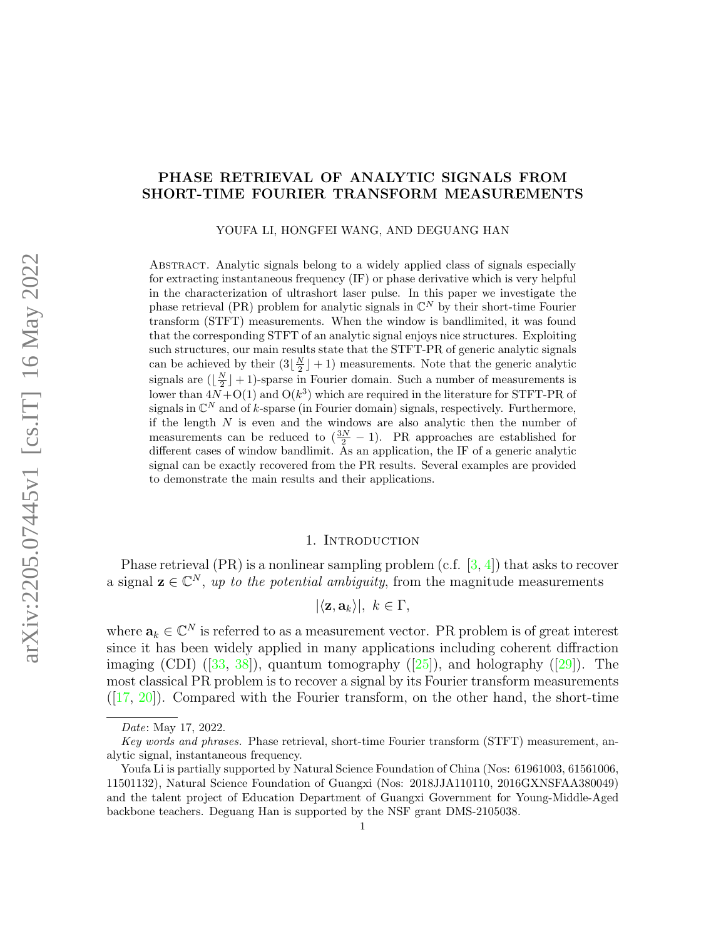# PHASE RETRIEVAL OF ANALYTIC SIGNALS FROM SHORT-TIME FOURIER TRANSFORM MEASUREMENTS

YOUFA LI, HONGFEI WANG, AND DEGUANG HAN

Abstract. Analytic signals belong to a widely applied class of signals especially for extracting instantaneous frequency (IF) or phase derivative which is very helpful in the characterization of ultrashort laser pulse. In this paper we investigate the phase retrieval (PR) problem for analytic signals in  $\mathbb{C}^N$  by their short-time Fourier transform (STFT) measurements. When the window is bandlimited, it was found that the corresponding STFT of an analytic signal enjoys nice structures. Exploiting such structures, our main results state that the STFT-PR of generic analytic signals can be achieved by their  $(3\lfloor \frac{N}{2} \rfloor + 1)$  measurements. Note that the generic analytic signals are  $(\lfloor \frac{N}{2} \rfloor + 1)$ -sparse in Fourier domain. Such a number of measurements is lower than  $4N+O(1)$  and  $O(k^3)$  which are required in the literature for STFT-PR of signals in  $\mathbb{C}^N$  and of k-sparse (in Fourier domain) signals, respectively. Furthermore, if the length  $N$  is even and the windows are also analytic then the number of measurements can be reduced to  $(\frac{3N}{2}-1)$ . PR approaches are established for different cases of window bandlimit. As an application, the IF of a generic analytic signal can be exactly recovered from the PR results. Several examples are provided to demonstrate the main results and their applications.

### 1. INTRODUCTION

Phase retrieval (PR) is a nonlinear sampling problem (c.f. [\[3,](#page-20-0) [4\]](#page-20-1)) that asks to recover a signal  $\mathbf{z} \in \mathbb{C}^N$ , up to the potential ambiguity, from the magnitude measurements

$$
|\langle \mathbf{z}, \mathbf{a}_k \rangle|, \ k \in \Gamma,
$$

where  $\mathbf{a}_k \in \mathbb{C}^N$  is referred to as a measurement vector. PR problem is of great interest since it has been widely applied in many applications including coherent diffraction imaging(CDI)  $([33, 38])$  $([33, 38])$  $([33, 38])$  $([33, 38])$  $([33, 38])$ , quantum tomography  $([25])$  $([25])$  $([25])$ , and holography  $([29])$  $([29])$  $([29])$ . The most classical PR problem is to recover a signal by its Fourier transform measurements  $([17, 20])$  $([17, 20])$  $([17, 20])$  $([17, 20])$  $([17, 20])$ . Compared with the Fourier transform, on the other hand, the short-time

Date: May 17, 2022.

Key words and phrases. Phase retrieval, short-time Fourier transform (STFT) measurement, analytic signal, instantaneous frequency.

Youfa Li is partially supported by Natural Science Foundation of China (Nos: 61961003, 61561006, 11501132), Natural Science Foundation of Guangxi (Nos: 2018JJA110110, 2016GXNSFAA380049) and the talent project of Education Department of Guangxi Government for Young-Middle-Aged backbone teachers. Deguang Han is supported by the NSF grant DMS-2105038.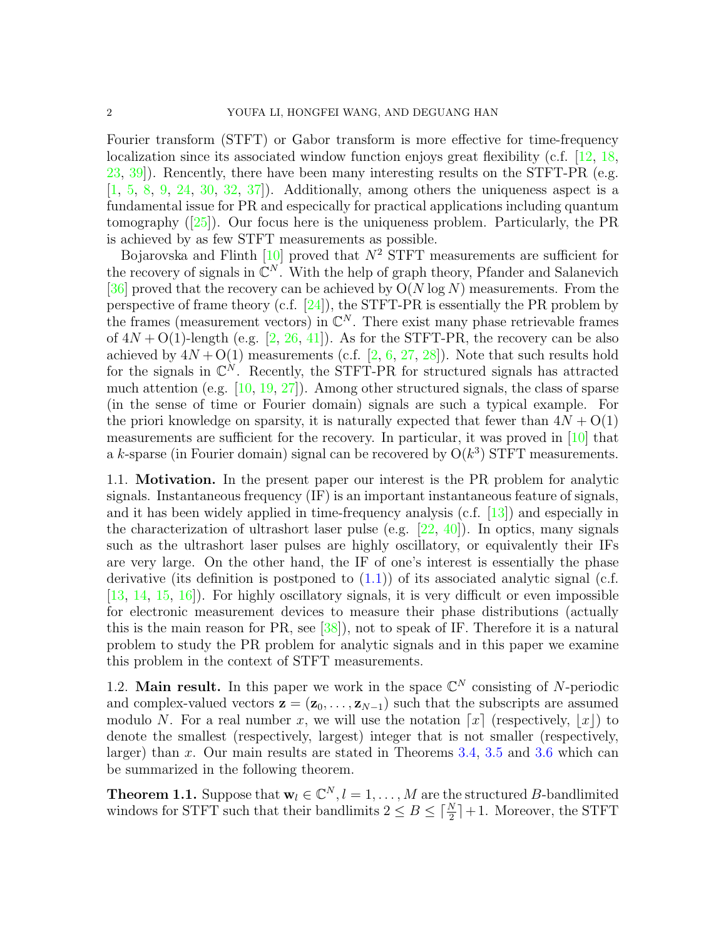Fourier transform (STFT) or Gabor transform is more effective for time-frequency localization since its associated window function enjoys great flexibility (c.f. [\[12,](#page-20-3) [18,](#page-21-5) [23,](#page-21-6) [39\]](#page-21-7)). Rencently, there have been many interesting results on the STFT-PR (e.g. [\[1,](#page-20-4) [5,](#page-20-5) [8,](#page-20-6) [9,](#page-20-7) [24,](#page-21-8) [30,](#page-21-9) [32,](#page-21-10) [37\]](#page-21-11)). Additionally, among others the uniqueness aspect is a fundamental issue for PR and especically for practical applications including quantum tomography $([25])$  $([25])$  $([25])$ . Our focus here is the uniqueness problem. Particularly, the PR is achieved by as few STFT measurements as possible.

Bojarovska and Flinth  $[10]$  proved that  $N^2$  STFT measurements are sufficient for the recovery of signals in  $\mathbb{C}^N$ . With the help of graph theory, Pfander and Salanevich [\[36\]](#page-21-12) proved that the recovery can be achieved by  $O(N \log N)$  measurements. From the perspective of frame theory (c.f. [\[24\]](#page-21-8)), the STFT-PR is essentially the PR problem by the frames (measurement vectors) in  $\mathbb{C}^N$ . There exist many phase retrievable frames of  $4N + O(1)$ -length (e.g. [\[2,](#page-20-9) [26,](#page-21-13) [41\]](#page-22-0)). As for the STFT-PR, the recovery can be also achieved by  $4N + O(1)$  measurements (c.f. [\[2,](#page-20-9) [6,](#page-20-10) [27,](#page-21-14) [28\]](#page-21-15)). Note that such results hold for the signals in  $\mathbb{C}^N$ . Recently, the STFT-PR for structured signals has attracted much attention (e.g. [\[10,](#page-20-8) [19,](#page-21-16) [27\]](#page-21-14)). Among other structured signals, the class of sparse (in the sense of time or Fourier domain) signals are such a typical example. For the priori knowledge on sparsity, it is naturally expected that fewer than  $4N + O(1)$ measurements are sufficient for the recovery. In particular, it was proved in [\[10\]](#page-20-8) that a k-sparse (in Fourier domain) signal can be recovered by  $O(k^3)$  STFT measurements.

1.1. Motivation. In the present paper our interest is the PR problem for analytic signals. Instantaneous frequency (IF) is an important instantaneous feature of signals, and it has been widely applied in time-frequency analysis (c.f. [\[13\]](#page-20-11)) and especially in the characterization of ultrashort laser pulse (e.g.  $[22, 40]$  $[22, 40]$ ). In optics, many signals such as the ultrashort laser pulses are highly oscillatory, or equivalently their IFs are very large. On the other hand, the IF of one's interest is essentially the phase derivative (its definition is postponed to  $(1.1)$ ) of its associated analytic signal (c.f. [\[13,](#page-20-11) [14,](#page-20-12) [15,](#page-20-13) [16\]](#page-20-14)). For highly oscillatory signals, it is very difficult or even impossible for electronic measurement devices to measure their phase distributions (actually this is the main reason for PR, see [\[38\]](#page-21-1)), not to speak of IF. Therefore it is a natural problem to study the PR problem for analytic signals and in this paper we examine this problem in the context of STFT measurements.

1.2. Main result. In this paper we work in the space  $\mathbb{C}^N$  consisting of N-periodic and complex-valued vectors  $\mathbf{z} = (\mathbf{z}_0, \dots, \mathbf{z}_{N-1})$  such that the subscripts are assumed modulo N. For a real number x, we will use the notation  $\lceil x \rceil$  (respectively,  $\lceil x \rceil$ ) to denote the smallest (respectively, largest) integer that is not smaller (respectively, larger) than x. Our main results are stated in Theorems [3.4,](#page-7-0) [3.5](#page-9-0) and [3.6](#page-11-0) which can be summarized in the following theorem.

<span id="page-1-0"></span>**Theorem 1.1.** Suppose that  $\mathbf{w}_l \in \mathbb{C}^N, l = 1, \ldots, M$  are the structured B-bandlimited windows for STFT such that their bandlimits  $2 \leq B \leq \lceil \frac{N}{2} \rceil + 1$ . Moreover, the STFT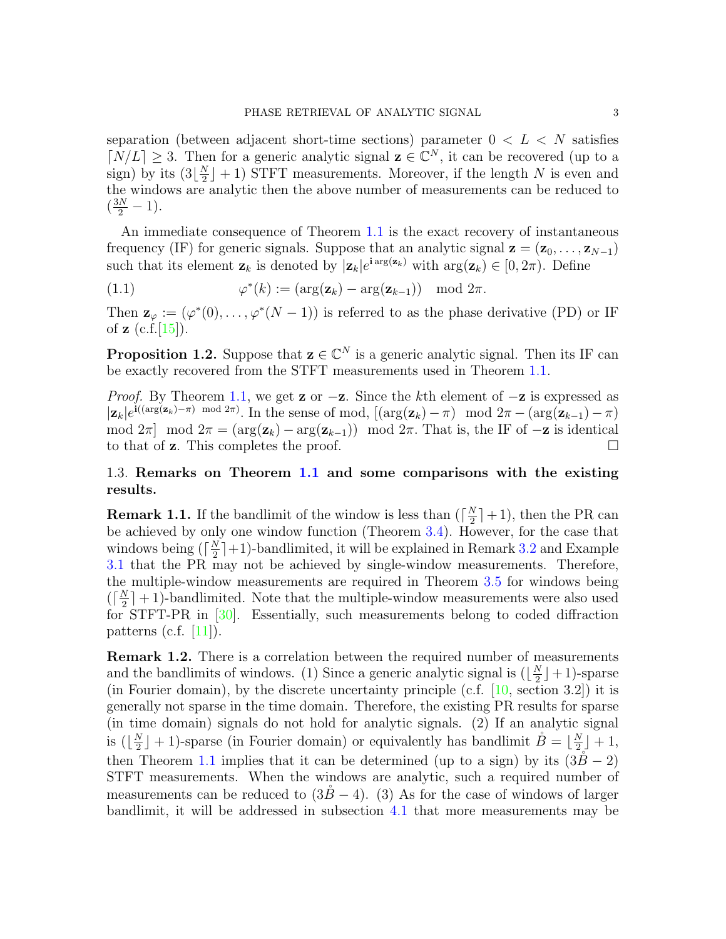separation (between adjacent short-time sections) parameter  $0 < L < N$  satisfies  $\lfloor N/L \rfloor \geq 3$ . Then for a generic analytic signal  $\mathbf{z} \in \mathbb{C}^N$ , it can be recovered (up to a sign) by its  $(3|\frac{N}{2})$  $\frac{N}{2}$  + 1) STFT measurements. Moreover, if the length N is even and the windows are analytic then the above number of measurements can be reduced to  $(\frac{3N}{2}-1).$ 

An immediate consequence of Theorem [1.1](#page-1-0) is the exact recovery of instantaneous frequency (IF) for generic signals. Suppose that an analytic signal  $z = (z_0, \ldots, z_{N-1})$ such that its element  $\mathbf{z}_k$  is denoted by  $|\mathbf{z}_k|e^{i \arg(\mathbf{z}_k)}$  with  $\arg(\mathbf{z}_k) \in [0, 2\pi)$ . Define

<span id="page-2-0"></span>(1.1) 
$$
\varphi^*(k) := (\arg(\mathbf{z}_k) - \arg(\mathbf{z}_{k-1})) \mod 2\pi.
$$

Then  $\mathbf{z}_{\varphi} := (\varphi^*(0), \ldots, \varphi^*(N-1))$  is referred to as the phase derivative (PD) or IF of  $z$  (c.f. [\[15\]](#page-20-13)).

<span id="page-2-1"></span>**Proposition 1.2.** Suppose that  $z \in \mathbb{C}^N$  is a generic analytic signal. Then its IF can be exactly recovered from the STFT measurements used in Theorem [1.1.](#page-1-0)

*Proof.* By Theorem [1.1,](#page-1-0) we get **z** or  $-\mathbf{z}$ . Since the kth element of  $-\mathbf{z}$  is expressed as  $|\mathbf{z}_k|e^{i((\arg(\mathbf{z}_k)-\pi)\mod 2\pi)}$ . In the sense of mod,  $[(\arg(\mathbf{z}_k)-\pi)\mod 2\pi-(\arg(\mathbf{z}_{k-1})-\pi)]$ mod  $2\pi$  mod  $2\pi = (arg(\mathbf{z}_k) - arg(\mathbf{z}_{k-1}))$  mod  $2\pi$ . That is, the IF of  $-\mathbf{z}$  is identical to that of **z**. This completes the proof.  $\square$ 

## 1.3. Remarks on Theorem [1.1](#page-1-0) and some comparisons with the existing results.

**Remark 1.1.** If the bandlimit of the window is less than  $\left(\frac{N}{2}\right)$  $\frac{N}{2}$  | + 1), then the PR can be achieved by only one window function (Theorem [3.4\)](#page-7-0). However, for the case that windows being  $(\lceil \frac{N}{2} \rceil)$  $\frac{N}{2}$  |+1)-bandlimited, it will be explained in Remark [3.2](#page-10-0) and Example [3.1](#page-10-1) that the PR may not be achieved by single-window measurements. Therefore, the multiple-window measurements are required in Theorem [3.5](#page-9-0) for windows being  $\left(\left\lceil \frac{N}{2}\right\rceil\right)$  $\frac{N}{2}$  + 1)-bandlimited. Note that the multiple-window measurements were also used for STFT-PR in [\[30\]](#page-21-9). Essentially, such measurements belong to coded diffraction patterns (c.f.  $[11]$ ).

**Remark 1.2.** There is a correlation between the required number of measurements and the bandlimits of windows. (1) Since a generic analytic signal is  $(\frac{N}{2})$  $\frac{N}{2}$  | + 1)-sparse (in Fourier domain), by the discrete uncertainty principle (c.f. [\[10,](#page-20-8) section 3.2]) it is generally not sparse in the time domain. Therefore, the existing PR results for sparse (in time domain) signals do not hold for analytic signals. (2) If an analytic signal is  $(\frac{N}{2})$  $(\frac{N}{2} + 1)$ -sparse (in Fourier domain) or equivalently has bandlimit  $\mathring{B} = \lfloor \frac{N}{2} \rfloor$  $\frac{N}{2}$  + 1, then Theorem [1.1](#page-1-0) implies that it can be determined (up to a sign) by its  $(3B - 2)$ STFT measurements. When the windows are analytic, such a required number of measurements can be reduced to  $(3B – 4)$ . (3) As for the case of windows of larger bandlimit, it will be addressed in subsection [4.1](#page-12-0) that more measurements may be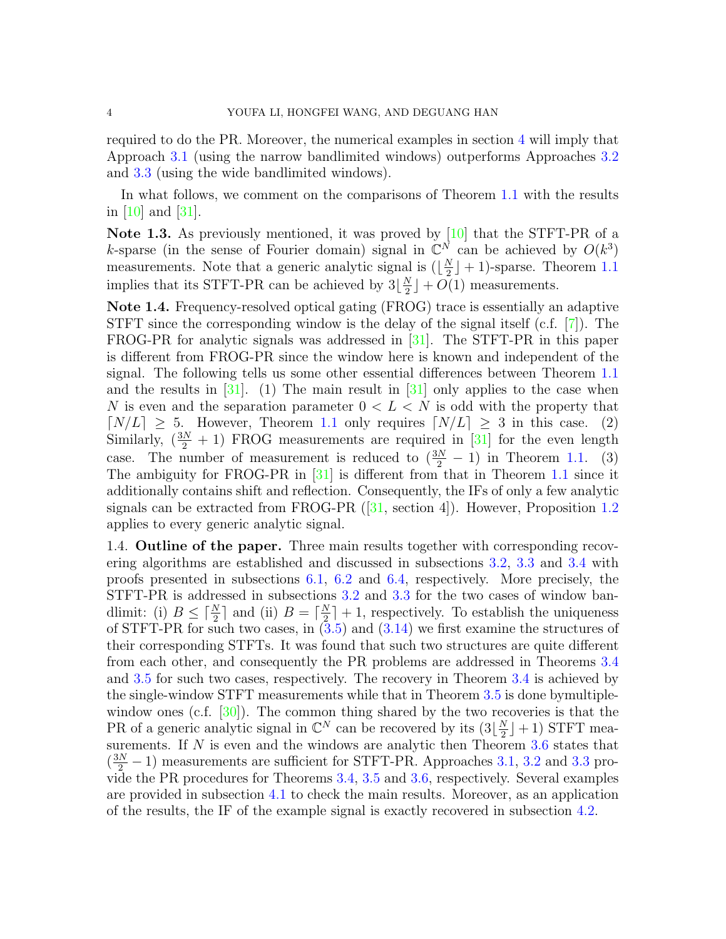required to do the PR. Moreover, the numerical examples in section [4](#page-12-1) will imply that Approach [3.1](#page-7-1) (using the narrow bandlimited windows) outperforms Approaches [3.2](#page-8-0) and [3.3](#page-10-2) (using the wide bandlimited windows).

In what follows, we comment on the comparisons of Theorem [1.1](#page-1-0) with the results in [\[10\]](#page-20-8) and [\[31\]](#page-21-19).

Note 1.3. As previously mentioned, it was proved by [\[10\]](#page-20-8) that the STFT-PR of a k-sparse (in the sense of Fourier domain) signal in  $\mathbb{C}^N$  can be achieved by  $O(k^3)$ measurements. Note that a generic analytic signal is  $(\frac{N}{2})$  $\frac{N}{2}$  | + 1)-sparse. Theorem [1.1](#page-1-0) implies that its STFT-PR can be achieved by  $3\left\lfloor \frac{N}{2} \right\rfloor$  $\frac{N}{2}$  | + O(1) measurements.

Note 1.4. Frequency-resolved optical gating (FROG) trace is essentially an adaptive STFT since the corresponding window is the delay of the signal itself (c.f. [\[7\]](#page-20-16)). The FROG-PR for analytic signals was addressed in [\[31\]](#page-21-19). The STFT-PR in this paper is different from FROG-PR since the window here is known and independent of the signal. The following tells us some other essential differences between Theorem [1.1](#page-1-0) and the results in  $[31]$ . (1) The main result in  $[31]$  only applies to the case when N is even and the separation parameter  $0 < L < N$  is odd with the property that  $\lceil N/L \rceil \geq 5$ . However, Theorem [1.1](#page-1-0) only requires  $\lceil N/L \rceil \geq 3$  in this case. (2) Similarly,  $(\frac{3N}{2} + 1)$  FROG measurements are required in [\[31\]](#page-21-19) for the even length case. The number of measurement is reduced to  $(\frac{3N}{2} - 1)$  in Theorem [1.1.](#page-1-0) (3) The ambiguity for FROG-PR in [\[31\]](#page-21-19) is different from that in Theorem [1.1](#page-1-0) since it additionally contains shift and reflection. Consequently, the IFs of only a few analytic signalscan be extracted from FROG-PR  $([31, \text{ section } 4])$  $([31, \text{ section } 4])$  $([31, \text{ section } 4])$ . However, Proposition [1.2](#page-2-1) applies to every generic analytic signal.

1.4. Outline of the paper. Three main results together with corresponding recovering algorithms are established and discussed in subsections [3.2,](#page-6-0) [3.3](#page-8-1) and [3.4](#page-10-3) with proofs presented in subsections [6.1,](#page-13-0) [6.2](#page-16-0) and [6.4,](#page-19-0) respectively. More precisely, the STFT-PR is addressed in subsections [3.2](#page-6-0) and [3.3](#page-8-1) for the two cases of window bandlimit: (i)  $B \leq \lceil \frac{N}{2} \rceil$  and (ii)  $B = \lceil \frac{N}{2} \rceil$  $\frac{N}{2}$  + 1, respectively. To establish the uniqueness of STFT-PR for such two cases, in  $(3.5)$  and  $(3.14)$  we first examine the structures of their corresponding STFTs. It was found that such two structures are quite different from each other, and consequently the PR problems are addressed in Theorems [3.4](#page-7-0) and [3.5](#page-9-0) for such two cases, respectively. The recovery in Theorem [3.4](#page-7-0) is achieved by the single-window STFT measurements while that in Theorem [3.5](#page-9-0) is done bymultiple-window ones (c.f. [\[30\]](#page-21-9)). The common thing shared by the two recoveries is that the PR of a generic analytic signal in  $\mathbb{C}^N$  can be recovered by its  $(3|\frac{N}{2})$  $\frac{N}{2}$  + 1) STFT measurements. If  $N$  is even and the windows are analytic then Theorem  $3.6$  states that  $(\frac{3N}{2} - 1)$  measurements are sufficient for STFT-PR. Approaches [3.1,](#page-7-1) [3.2](#page-8-0) and [3.3](#page-10-2) provide the PR procedures for Theorems [3.4,](#page-7-0) [3.5](#page-9-0) and [3.6,](#page-11-0) respectively. Several examples are provided in subsection [4.1](#page-12-0) to check the main results. Moreover, as an application of the results, the IF of the example signal is exactly recovered in subsection [4.2.](#page-12-2)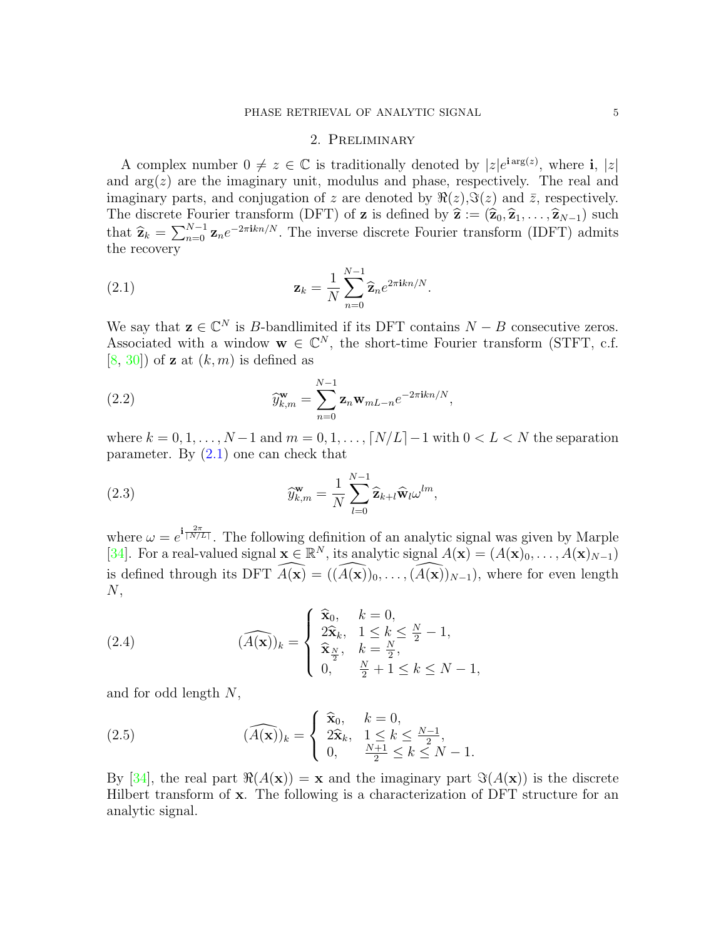### 2. Preliminary

A complex number  $0 \neq z \in \mathbb{C}$  is traditionally denoted by  $|z|e^{i \arg(z)}$ , where i,  $|z|$ and  $arg(z)$  are the imaginary unit, modulus and phase, respectively. The real and imaginary parts, and conjugation of z are denoted by  $\Re(z),\Im(z)$  and  $\bar{z}$ , respectively. The discrete Fourier transform (DFT) of **z** is defined by  $\hat{\mathbf{z}} := (\hat{\mathbf{z}}_0, \hat{\mathbf{z}}_1, \dots, \hat{\mathbf{z}}_{N-1})$  such that  $\hat{\mathbf{z}}_k = \sum_{n=0}^{N-1} \mathbf{z}_n e^{-2\pi i k n/N}$ . The inverse discrete Fourier transform (IDFT) admits the recovery the recovery

<span id="page-4-0"></span>(2.1) 
$$
\mathbf{z}_k = \frac{1}{N} \sum_{n=0}^{N-1} \widehat{\mathbf{z}}_n e^{2\pi i k n/N}.
$$

We say that  $z \in \mathbb{C}^N$  is B-bandlimited if its DFT contains  $N - B$  consecutive zeros. Associated with a window  $\mathbf{w} \in \mathbb{C}^N$ , the short-time Fourier transform (STFT, c.f. [\[8,](#page-20-6) [30\]](#page-21-9)) of **z** at  $(k, m)$  is defined as

<span id="page-4-1"></span>(2.2) 
$$
\widehat{y}_{k,m}^{\mathbf{w}} = \sum_{n=0}^{N-1} \mathbf{z}_n \mathbf{w}_{mL-n} e^{-2\pi i k n/N},
$$

where  $k = 0, 1, \ldots, N-1$  and  $m = 0, 1, \ldots, \lceil N/L \rceil - 1$  with  $0 < L < N$  the separation parameter. By  $(2.1)$  one can check that

(2.3) 
$$
\widehat{y}_{k,m}^{\mathbf{w}} = \frac{1}{N} \sum_{l=0}^{N-1} \widehat{\mathbf{z}}_{k+l} \widehat{\mathbf{w}}_l \omega^{lm},
$$

where  $\omega = e^{\mathbf{i} \frac{2\pi}{[N/L]}}$ . The following definition of an analytic signal was given by Marple [\[34\]](#page-21-20). For a real-valued signal  $\mathbf{x} \in \mathbb{R}^N$ , its analytic signal  $A(\mathbf{x}) = (A(\mathbf{x})_0, \ldots, A(\mathbf{x})_{N-1})$ is defined through its DFT  $\widehat{A(\mathbf{x})} = ((\widehat{A(\mathbf{x})})_0, \ldots, (\widehat{A(\mathbf{x})})_{N-1})$ , where for even length  $N$ ,

(2.4) 
$$
(\widehat{A(\mathbf{x})})_k = \begin{cases} \widehat{\mathbf{x}}_0, & k = 0, \\ 2\widehat{\mathbf{x}}_k, & 1 \leq k \leq \frac{N}{2} - 1, \\ \widehat{\mathbf{x}}_{\frac{N}{2}}, & k = \frac{N}{2}, \\ 0, & \frac{N}{2} + 1 \leq k \leq N - 1, \end{cases}
$$

and for odd length N,

(2.5) 
$$
(\widehat{A(\mathbf{x})})_k = \begin{cases} \widehat{\mathbf{x}}_0, & k = 0, \\ 2\widehat{\mathbf{x}}_k, & 1 \leq k \leq \frac{N-1}{2}, \\ 0, & \frac{N+1}{2} \leq k \leq N-1. \end{cases}
$$

By [\[34\]](#page-21-20), the real part  $\Re(A(x)) = x$  and the imaginary part  $\Im(A(x))$  is the discrete Hilbert transform of x. The following is a characterization of DFT structure for an analytic signal.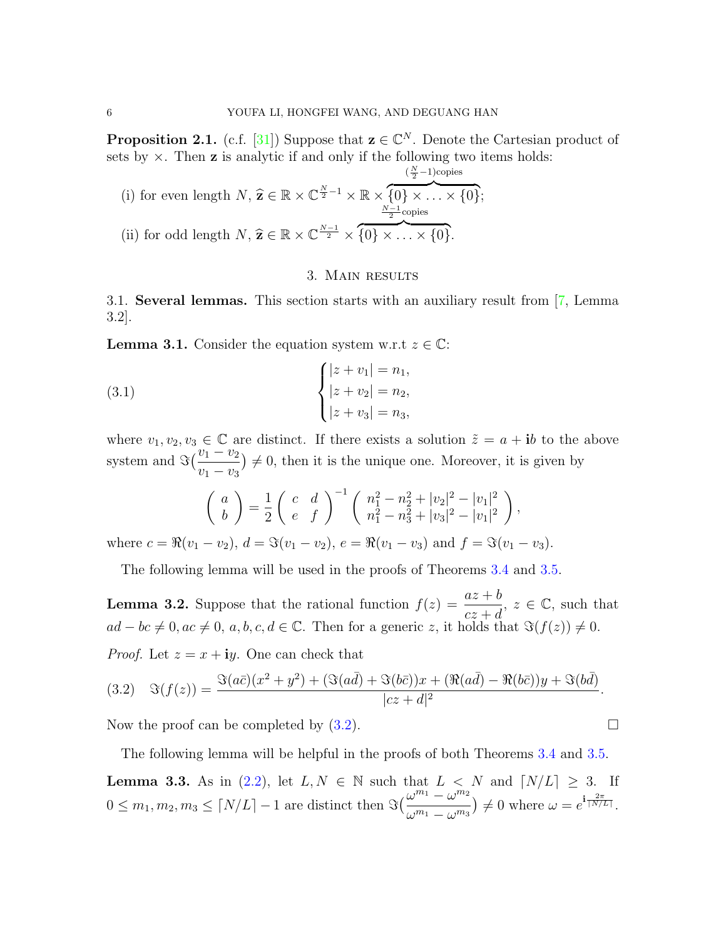<span id="page-5-1"></span>**Proposition 2.1.** (c.f. [\[31\]](#page-21-19)) Suppose that  $z \in \mathbb{C}^N$ . Denote the Cartesian product of sets by  $\times$ . Then **z** is analytic if and only if the following two items holds:

(i) for even length 
$$
N
$$
,  $\hat{\mathbf{z}} \in \mathbb{R} \times \mathbb{C}^{\frac{N}{2}-1} \times \mathbb{R} \times \{0\} \times \ldots \times \{0\};$  (ii) for odd length  $N$ ,  $\hat{\mathbf{z}} \in \mathbb{R} \times \mathbb{C}^{\frac{N-1}{2}} \times \{0\} \times \ldots \times \{0\}.$ 

### 3. Main results

3.1. Several lemmas. This section starts with an auxiliary result from [\[7,](#page-20-16) Lemma 3.2].

<span id="page-5-2"></span>**Lemma 3.1.** Consider the equation system w.r.t  $z \in \mathbb{C}$ :

(3.1) 
$$
\begin{cases} |z + v_1| = n_1, \\ |z + v_2| = n_2, \\ |z + v_3| = n_3, \end{cases}
$$

where  $v_1, v_2, v_3 \in \mathbb{C}$  are distinct. If there exists a solution  $\tilde{z} = a + ib$  to the above system and  $\Im\left(\frac{v_1 - v_2}{v_1 - v_2}\right)$  $v_1 - v_3$  $\neq 0$ , then it is the unique one. Moreover, it is given by

$$
\begin{pmatrix} a \\ b \end{pmatrix} = \frac{1}{2} \begin{pmatrix} c & d \\ e & f \end{pmatrix}^{-1} \begin{pmatrix} n_1^2 - n_2^2 + |v_2|^2 - |v_1|^2 \\ n_1^2 - n_3^2 + |v_3|^2 - |v_1|^2 \end{pmatrix},
$$
  
=  $\sum_{i=1}^n d_i = \mathcal{E}(v_1 - v_2) e^{-\mathcal{R}(v_1 - v_1)} \text{ and } f = \mathcal{E}(v_2 - v_2)$ 

where  $c = \Re(v_1 - v_2), d = \Im(v_1 - v_2), e = \Re(v_1 - v_3)$  and  $f = \Im(v_1 - v_3)$ .

The following lemma will be used in the proofs of Theorems [3.4](#page-7-0) and [3.5.](#page-9-0)

<span id="page-5-4"></span>**Lemma 3.2.** Suppose that the rational function  $f(z) = \frac{az+b}{z-a}$  $cz + d$ ,  $z \in \mathbb{C}$ , such that  $ad - bc \neq 0, ac \neq 0, a, b, c, d \in \mathbb{C}$ . Then for a generic z, it holds that  $\Im(f(z)) \neq 0$ . *Proof.* Let  $z = x + iy$ . One can check that

<span id="page-5-0"></span>(3.2) 
$$
\Im(f(z)) = \frac{\Im(a\bar{c})(x^2 + y^2) + (\Im(a\bar{d}) + \Im(b\bar{c}))x + (\Re(a\bar{d}) - \Re(b\bar{c}))y + \Im(b\bar{d})}{|cz + d|^2}.
$$

Now the proof can be completed by  $(3.2)$ .

The following lemma will be helpful in the proofs of both Theorems [3.4](#page-7-0) and [3.5.](#page-9-0)

<span id="page-5-3"></span>**Lemma 3.3.** As in [\(2.2\)](#page-4-1), let  $L, N \in \mathbb{N}$  such that  $L < N$  and  $\lceil N/L \rceil \geq 3$ . If  $0 \leq m_1, m_2, m_3 \leq \lceil N/L \rceil - 1$  are distinct then  $\Im\left(\frac{\omega^{m_1} - \omega^{m_2}}{\omega^{m_1} - \omega^{m_3}}\right)$  $\omega^{m_1} - \omega^{m_3}$  $\psi \neq 0$  where  $\omega = e^{\mathbf{i} \frac{2\pi}{\lceil N/L \rceil}}$ .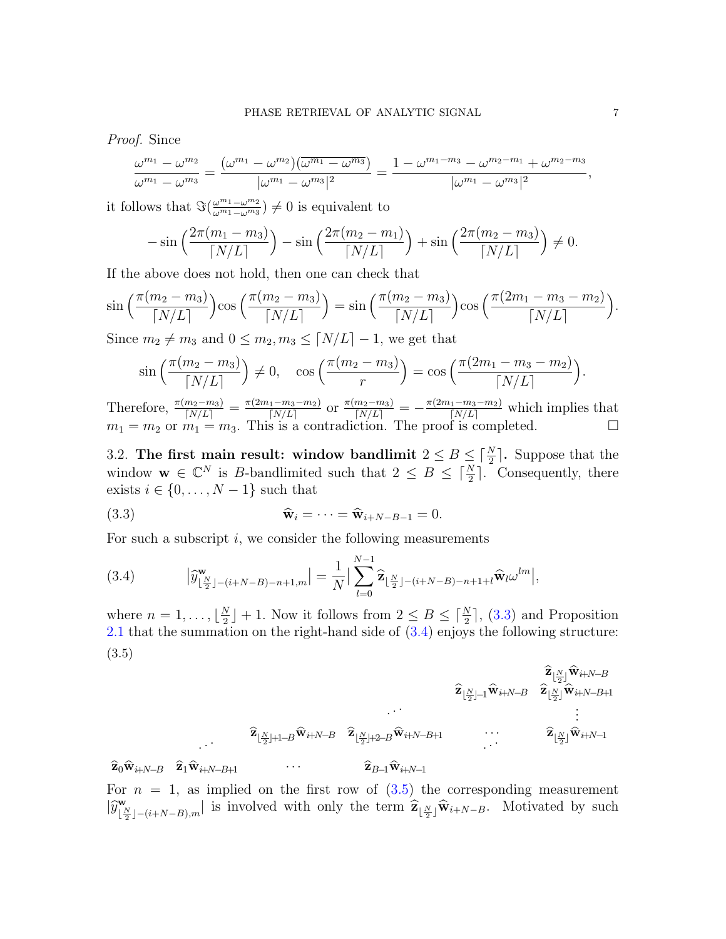Proof. Since

$$
\frac{\omega^{m_1} - \omega^{m_2}}{\omega^{m_1} - \omega^{m_3}} = \frac{(\omega^{m_1} - \omega^{m_2})(\overline{\omega^{m_1} - \omega^{m_3}})}{|\omega^{m_1} - \omega^{m_3}|^2} = \frac{1 - \omega^{m_1 - m_3} - \omega^{m_2 - m_1} + \omega^{m_2 - m_3}}{|\omega^{m_1} - \omega^{m_3}|^2},
$$

it follows that  $\Im(\frac{\omega^{m_1} - \omega^{m_2}}{\omega^{m_1} - \omega^{m_3}})$  $\frac{\omega^{m_1} - \omega^{m_2}}{\omega^{m_1} - \omega^{m_3}}$ )  $\neq 0$  is equivalent to

$$
-\sin\left(\frac{2\pi(m_1-m_3)}{\lceil N/L\rceil}\right)-\sin\left(\frac{2\pi(m_2-m_1)}{\lceil N/L\rceil}\right)+\sin\left(\frac{2\pi(m_2-m_3)}{\lceil N/L\rceil}\right)\neq 0.
$$

If the above does not hold, then one can check that

$$
\sin\left(\frac{\pi(m_2 - m_3)}{\lceil N/L \rceil}\right) \cos\left(\frac{\pi(m_2 - m_3)}{\lceil N/L \rceil}\right) = \sin\left(\frac{\pi(m_2 - m_3)}{\lceil N/L \rceil}\right) \cos\left(\frac{\pi(2m_1 - m_3 - m_2)}{\lceil N/L \rceil}\right).
$$

Since  $m_2 \neq m_3$  and  $0 \leq m_2, m_3 \leq |N/L|-1$ , we get that

$$
\sin\left(\frac{\pi(m_2 - m_3)}{\lceil N/L \rceil}\right) \neq 0, \quad \cos\left(\frac{\pi(m_2 - m_3)}{r}\right) = \cos\left(\frac{\pi(2m_1 - m_3 - m_2)}{\lceil N/L \rceil}\right).
$$

Therefore,  $\frac{\pi(m_2-m_3)}{[N/L]} = \frac{\pi(2m_1-m_3-m_2)}{[N/L]}$  $\frac{n(m_1-m_3-m_2)}{N/L}$  or  $\frac{\pi(m_2-m_3)}{N/L}$  =  $-\frac{\pi(2m_1-m_3-m_2)}{N/L}$  which implies that  $m_1 = m_2$  or  $m_1 = m_3$ . This is a contradiction. The proof is completed.

<span id="page-6-0"></span>3.2. The first main result: window bandlimit  $2 \leq B \leq \lceil \frac{N}{2} \rceil$ . Suppose that the window  $\mathbf{w} \in \mathbb{C}^N$  is B-bandlimited such that  $2 \leq B \leq \lceil \frac{N}{2} \rceil$ . Consequently, there exists  $i \in \{0, ..., N-1\}$  such that

<span id="page-6-2"></span>(3.3) 
$$
\widehat{\mathbf{w}}_i = \cdots = \widehat{\mathbf{w}}_{i+N-B-1} = 0.
$$

For such a subscript  $i$ , we consider the following measurements

<span id="page-6-3"></span>(3.4) 
$$
|\widehat{y}_{\lfloor \frac{N}{2} \rfloor - (i+N-B)-n+1,m}^{\mathbf{w}}| = \frac{1}{N} |\sum_{l=0}^{N-1} \widehat{\mathbf{z}}_{\lfloor \frac{N}{2} \rfloor - (i+N-B)-n+1+l} \widehat{\mathbf{w}}_l \omega^{lm}|,
$$

where  $n=1,\ldots,\lfloor\frac{N}{2}\rfloor$  $\frac{N}{2}$  | + 1. Now it follows from  $2 \leq B \leq \lceil \frac{N}{2} \rceil$ , [\(3.3\)](#page-6-2) and Proposition [2.1](#page-5-1) that the summation on the right-hand side of  $(3.4)$  enjoys the following structure: (3.5)

<span id="page-6-1"></span>bzb N 2 <sup>c</sup>wbi+N−<sup>B</sup> bzb N 2 c−1wbi+N−<sup>B</sup> <sup>b</sup>z<sup>b</sup> N 2 <sup>c</sup>wbi+N−B+1 . . . bzb N 2 <sup>c</sup>+1−Bwbi+N−<sup>B</sup> <sup>b</sup>z<sup>b</sup> N 2 <sup>c</sup>+2−Bwbi+N−B+1 · · · <sup>b</sup>z<sup>b</sup> N 2 <sup>c</sup>wbi+N−<sup>1</sup> <sup>b</sup>z0wbi+N−<sup>B</sup> <sup>b</sup>z1wbi+N−B+1 · · · <sup>b</sup>zB−1wbi+N−<sup>1</sup>

For  $n = 1$ , as implied on the first row of  $(3.5)$  the corresponding measurement  $|\widehat{y}^{\mathbf{w}}_{\lfloor \frac{l}{2} \rfloor}$  $\mathbf{E}[\frac{N}{2}]- (i+N-B),m]$  is involved with only the term  $\hat{\mathbf{Z}}_{\lfloor \frac{N}{2} \rfloor} \hat{\mathbf{w}}_{i+N-B}$ . Motivated by such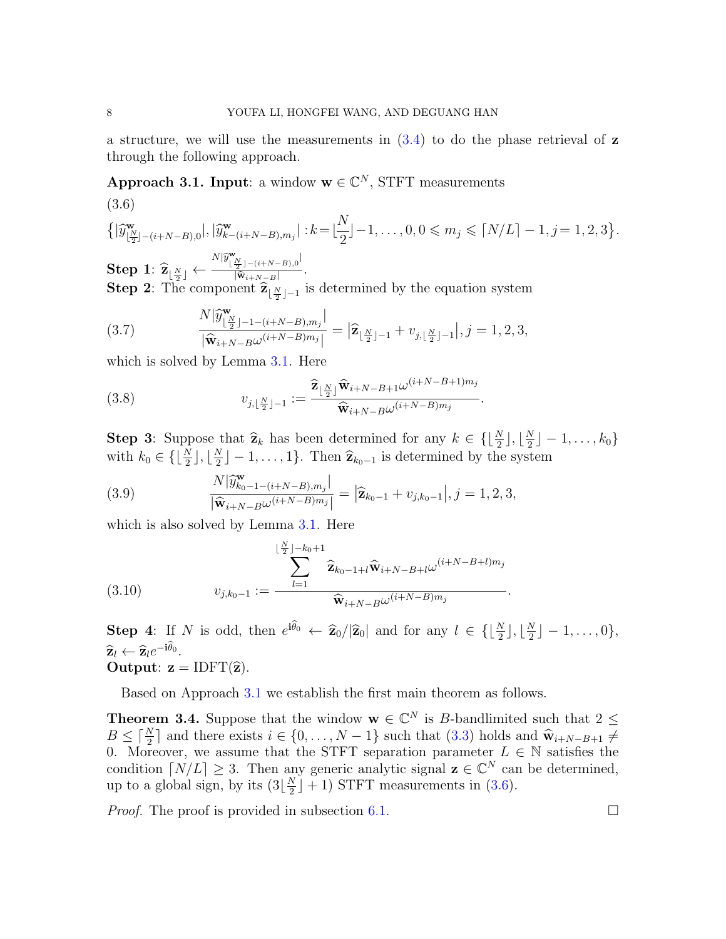a structure, we will use the measurements in  $(3.4)$  to do the phase retrieval of z through the following approach.

<span id="page-7-2"></span><span id="page-7-1"></span>Approach 3.1. Input: a window  $\mathbf{w} \in \mathbb{C}^N$ , STFT measurements (3.6)

$$
\left\{ |\widehat{y}^{\mathbf{w}}_{\lfloor \frac{N}{2} \rfloor - (i+N-B),0}|, |\widehat{y}^{\mathbf{w}}_{k-(i+N-B),m_j}| : k = \lfloor \frac{N}{2} \rfloor - 1, \ldots, 0, 0 \leq m_j \leq \lceil N/L \rceil - 1, j = 1, 2, 3 \right\}.
$$

 $\text{Step 1: } \widehat{\mathbf{z}}_{\lfloor \frac{N}{2} \rfloor} \leftarrow \ \text{Step 2:}$  $N|\hat{y}^{\mathbf{w}}_{\lfloor \frac{N}{2} \rfloor-(i+N-B),0}|$  $\frac{\overline{z}^{j} - (i+N-B), 0}{|\widehat{\mathbf{w}}_{i+N-B}|}.$ **Step 2**: The component  $\hat{\mathbf{z}}_{\lfloor \frac{N}{2} \rfloor-1}$  is determined by the equation system

<span id="page-7-3"></span>(3.7) 
$$
\frac{N|\widehat{y}_{\lfloor \frac{N}{2} \rfloor - 1 - (i + N - B), m_j}^{\mathbf{W}}|}{|\widehat{\mathbf{w}}_{i + N - B}\omega^{(i + N - B)m_j}|} = |\widehat{\mathbf{z}}_{\lfloor \frac{N}{2} \rfloor - 1} + v_{j, \lfloor \frac{N}{2} \rfloor - 1}|, j = 1, 2, 3,
$$

which is solved by Lemma [3.1.](#page-5-2) Here

<span id="page-7-4"></span>(3.8) 
$$
v_{j,\lfloor \frac{N}{2} \rfloor-1} := \frac{\widehat{\mathbf{z}}_{\lfloor \frac{N}{2} \rfloor} \widehat{\mathbf{w}}_{i+N-B+1} \omega^{(i+N-B+1)m_j}}{\widehat{\mathbf{w}}_{i+N-B} \omega^{(i+N-B)m_j}}
$$

**Step 3:** Suppose that  $\hat{\mathbf{z}}_k$  has been determined for any  $k \in \{\lfloor \frac{N}{2} \rfloor, \lfloor \frac{N}{2} \rfloor, \lfloor \frac{N}{2} \rfloor\}$  $\frac{N}{2}$ ] –  $1, \ldots, k_0$ } with  $k_0 \in \{\lfloor \frac{N}{2} \rfloor, \lfloor \frac{N}{2} \rfloor\}$  $\left[\frac{N}{2}\right] - 1, \ldots, 1\}.$  Then  $\hat{\mathbf{z}}_{k_0-1}$  is determined by the system

.

<span id="page-7-5"></span>(3.9) 
$$
\frac{N|\widehat{y}_{k_0-1-(i+N-B),m_j}^{\mathbf{w}}|}{|\widehat{\mathbf{w}}_{i+N-B}\omega^{(i+N-B)m_j}|} = |\widehat{\mathbf{z}}_{k_0-1} + v_{j,k_0-1}|, j = 1,2,3,
$$

which is also solved by Lemma [3.1.](#page-5-2) Here

<span id="page-7-6"></span>(3.10) 
$$
\sum_{l=1}^{\lfloor \frac{N}{2} \rfloor - k_0 + 1} \widehat{\mathbf{z}}_{k_0 - 1 + l} \widehat{\mathbf{w}}_{i+N-B+l} \omega^{(i+N-B+l)m_j}
$$

$$
v_{j,k_0-1} := \frac{\widehat{k-1}}{\widehat{\mathbf{w}}_{i+N-B} \omega^{(i+N-B)m_j}}.
$$

**Step 4:** If N is odd, then  $e^{i\theta_0} \leftarrow \hat{\mathbf{z}}_0/|\hat{\mathbf{z}}_0|$  and for any  $l \in \{\lfloor \frac{N}{2} \rfloor, \lfloor \frac{N}{2} \rfloor\}$  $\frac{N}{2}$ ] – 1, ..., 0},  $\widehat{\mathbf{z}}_l \leftarrow \widehat{\mathbf{z}}_l e^{-\mathbf{i}\theta_0}.$ Output: 7 -Output:  $z = IDFT(\hat{z})$ .

Based on Approach [3.1](#page-7-1) we establish the first main theorem as follows.

<span id="page-7-0"></span>**Theorem 3.4.** Suppose that the window  $\mathbf{w} \in \mathbb{C}^N$  is B-bandlimited such that  $2 \leq$  $B \leq \lceil \frac{N}{2} \rceil$  and there exists  $i \in \{0, ..., N-1\}$  such that  $(3.3)$  holds and  $\hat{\mathbf{w}}_{i+N-B+1} \neq 0$ . Moreover, we assume that the STET separation parameter  $I \subseteq \mathbb{N}$  satisfies the 0. Moreover, we assume that the STFT separation parameter  $L \in \mathbb{N}$  satisfies the condition  $\lceil N/L \rceil \geq 3$ . Then any generic analytic signal  $z \in \mathbb{C}^N$  can be determined, up to a global sign, by its  $(3|\frac{N}{2})$  $\frac{N}{2}$  + 1) STFT measurements in [\(3.6\)](#page-7-2).

*Proof.* The proof is provided in subsection [6.1.](#page-13-0)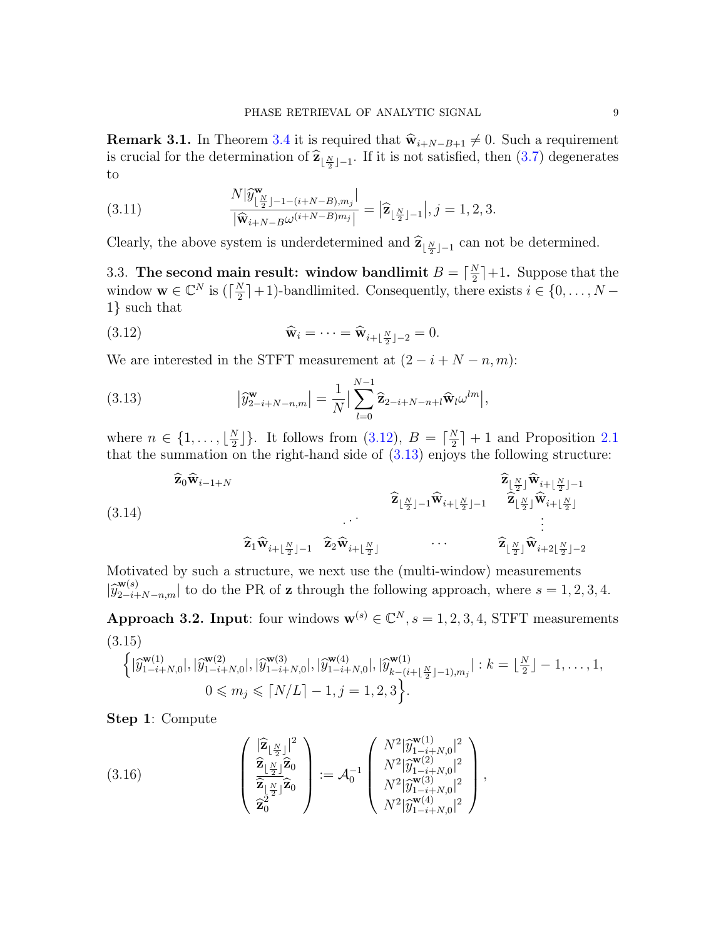**Remark 3.1.** In Theorem [3.4](#page-7-0) it is required that  $\hat{\mathbf{w}}_{i+N-B+1} \neq 0$ . Such a requirement is crucial for the determination of  $\hat{\mathbf{z}}_{\lfloor \frac{N}{2} \rfloor - 1}$ . If it is not satisfied, then [\(3.7\)](#page-7-3) degenerates to

(3.11) 
$$
\frac{N|\widehat{y}_{\lfloor \frac{N}{2} \rfloor - 1 - (i + N - B), m_j}^{\mathbf{w}}|}{|\widehat{\mathbf{w}}_{i + N - B}\omega^{(i + N - B)m_j}|} = |\widehat{\mathbf{z}}_{\lfloor \frac{N}{2} \rfloor - 1}|, j = 1, 2, 3.
$$

Clearly, the above system is underdetermined and  $\hat{\mathbf{z}}_{\lfloor \frac{N}{2} \rfloor-1}$  can not be determined.

<span id="page-8-1"></span>3.3. The second main result: window bandlimit  $B = \lceil \frac{N}{2} \rceil$  $\frac{N}{2}$ |+1. Suppose that the window  $\mathbf{w} \in \mathbb{C}^N$  is  $(\lceil \frac{N}{2} \rceil)$  $\frac{N}{2}$  | + 1)-bandlimited. Consequently, there exists  $i \in \{0, ..., N - 1\}$ 1} such that

<span id="page-8-3"></span>(3.12) 
$$
\widehat{\mathbf{w}}_i = \cdots = \widehat{\mathbf{w}}_{i + \lfloor \frac{N}{2} \rfloor - 2} = 0.
$$

We are interested in the STFT measurement at  $(2 - i + N - n, m)$ :

<span id="page-8-4"></span>(3.13) 
$$
\left|\widehat{y}_{2-i+N-n,m}^{\mathbf{w}}\right| = \frac{1}{N} \Big|\sum_{l=0}^{N-1} \widehat{\mathbf{z}}_{2-i+N-n+l} \widehat{\mathbf{w}}_l \omega^{lm}\Big|,
$$

where  $n \in \{1, \ldots, \lfloor \frac{N}{2} \rfloor\}$  $\binom{N}{2}$ . It follows from  $(3.12), B = \lceil \frac{N}{2} \rceil$  $\frac{N}{2}$  + 1 and Proposition [2.1](#page-5-1) that the summation on the right-hand side of  $(3.13)$  enjoys the following structure:

<span id="page-8-2"></span>
$$
\widehat{\mathbf{z}}_{0}\widehat{\mathbf{w}}_{i-1+N} \qquad \qquad \widehat{\mathbf{z}}_{\lfloor \frac{N}{2} \rfloor-1}\widehat{\mathbf{w}}_{i+\lfloor \frac{N}{2} \rfloor-1} \qquad \qquad \widehat{\mathbf{z}}_{\lfloor \frac{N}{2} \rfloor}\widehat{\mathbf{w}}_{i+\lfloor \frac{N}{2} \rfloor-1} \qquad \qquad \cdots \qquad \qquad \widehat{\mathbf{z}}_{\lfloor \frac{N}{2} \rfloor-1}\widehat{\mathbf{w}}_{i+\lfloor \frac{N}{2} \rfloor}
$$

$$
\widehat{\mathbf{z}}_1 \widehat{\mathbf{w}}_{i + \lfloor \frac{N}{2} \rfloor - 1} \quad \widehat{\mathbf{z}}_2 \widehat{\mathbf{w}}_{i + \lfloor \frac{N}{2} \rfloor} \qquad \qquad \cdots \qquad \qquad \widehat{\mathbf{z}}_{\lfloor \frac{N}{2} \rfloor} \widehat{\mathbf{w}}_{i + 2 \lfloor \frac{N}{2} \rfloor - 2}
$$

Motivated by such a structure, we next use the (multi-window) measurements  $|\hat{y}_{2-i+N-n,m}^{\mathbf{w}(s)}|$  to do the PR of **z** through the following approach, where  $s = 1, 2, 3, 4$ .

<span id="page-8-5"></span><span id="page-8-0"></span>Approach 3.2. Input: four windows  $\mathbf{w}^{(s)} \in \mathbb{C}^N$ ,  $s = 1, 2, 3, 4$ , STFT measurements (3.15)

$$
\left\{ |\widehat{y}_{1-i+N,0}^{\mathbf{w}(1)}|, |\widehat{y}_{1-i+N,0}^{\mathbf{w}(2)}|, |\widehat{y}_{1-i+N,0}^{\mathbf{w}(3)}|, |\widehat{y}_{1-i+N,0}^{\mathbf{w}(4)}|, |\widehat{y}_{k-(i+\lfloor \frac{N}{2} \rfloor-1),m_j}^{\mathbf{w}(1)}| : k = \lfloor \frac{N}{2} \rfloor - 1, \ldots, 1, 0 \le m_j \le \lceil N/L \rceil - 1, j = 1, 2, 3 \right\}.
$$

Step 1: Compute

(3.16) 
$$
\begin{pmatrix}\n\left|\hat{\mathbf{z}}_{\lfloor \frac{N}{2} \rfloor}\right|^{2} \\
\hat{\mathbf{z}}_{\lfloor \frac{N}{2} \rfloor}\hat{\mathbf{z}}_{0} \\
\hat{\mathbf{z}}_{\lfloor \frac{N}{2} \rfloor}\hat{\mathbf{z}}_{0} \\
\hat{\mathbf{z}}_{0}^{2}\n\end{pmatrix} := \mathcal{A}_{0}^{-1} \begin{pmatrix}\nN^{2}|\hat{y}_{1-i+N,0}^{\mathbf{w}(1)}|^{2} \\
N^{2}|\hat{y}_{1-i+N,0}^{\mathbf{w}(2)}|^{2} \\
N^{2}|\hat{y}_{1-i+N,0}^{\mathbf{w}(3)}|^{2} \\
N^{2}|\hat{y}_{1-i+N,0}^{\mathbf{w}(4)}|^{2}\n\end{pmatrix},
$$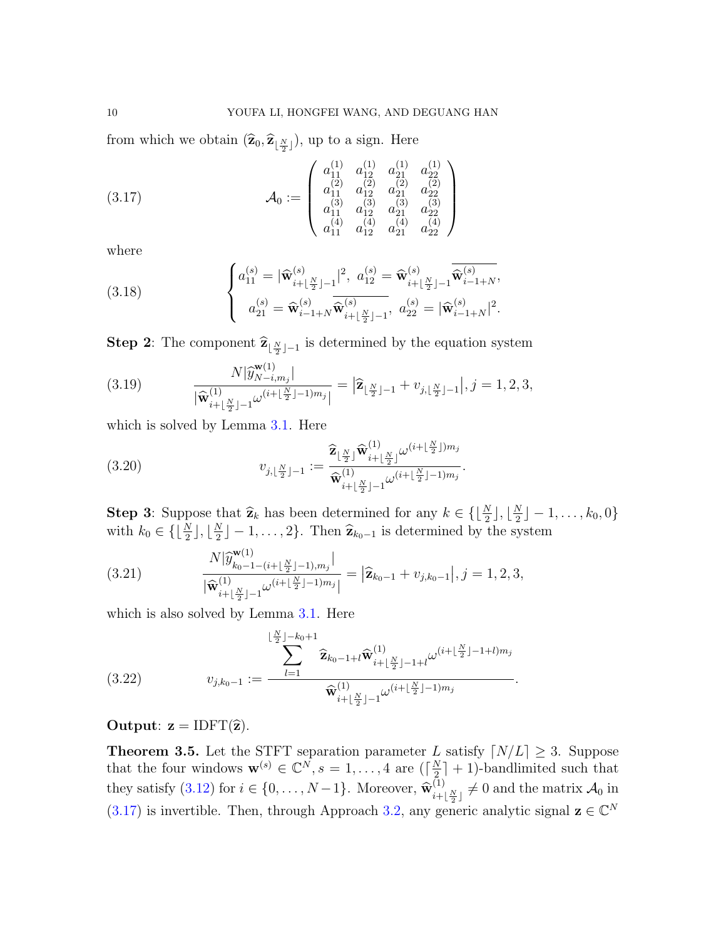from which we obtain  $(\widehat{\mathbf{z}}_0, \widehat{\mathbf{z}}_{\lfloor \frac{N}{2} \rfloor})$ , up to a sign. Here

<span id="page-9-1"></span>
$$
(3.17) \qquad \mathcal{A}_0 := \begin{pmatrix} a_{11}^{(1)} & a_{12}^{(1)} & a_{21}^{(1)} & a_{22}^{(1)} \\ a_{11}^{(2)} & a_{12}^{(2)} & a_{21}^{(2)} & a_{22}^{(2)} \\ a_{11}^{(3)} & a_{12}^{(3)} & a_{21}^{(3)} & a_{22}^{(3)} \\ a_{11}^{(4)} & a_{12}^{(4)} & a_{21}^{(4)} & a_{22}^{(4)} \end{pmatrix}
$$

where

(3.18) 
$$
\begin{cases} a_{11}^{(s)} = |\widehat{\mathbf{w}}_{i+\lfloor \frac{N}{2} \rfloor-1}^{(s)}|^2, \ a_{12}^{(s)} = \widehat{\mathbf{w}}_{i+\lfloor \frac{N}{2} \rfloor-1}^{(s)} \widehat{\mathbf{w}}_{i-1+N}^{(s)},\\ a_{21}^{(s)} = \widehat{\mathbf{w}}_{i-1+N}^{(s)} \widehat{\mathbf{w}}_{i+\lfloor \frac{N}{2} \rfloor-1}^{(s)}, \ a_{22}^{(s)} = |\widehat{\mathbf{w}}_{i-1+N}^{(s)}|^2. \end{cases}
$$

**Step 2**: The component  $\hat{\mathbf{z}}_{\lfloor \frac{N}{2} \rfloor-1}$  is determined by the equation system

<span id="page-9-2"></span>(3.19) 
$$
\frac{N|\widehat{y}_{N-i,m_j}^{w(1)}|}{|\widehat{\mathbf{w}}_{i+\lfloor \frac{N}{2} \rfloor-1}^{(1)}\omega^{(i+\lfloor \frac{N}{2} \rfloor-1)m_j}|} = |\widehat{\mathbf{z}}_{\lfloor \frac{N}{2} \rfloor-1} + v_{j,\lfloor \frac{N}{2} \rfloor-1}|, j=1,2,3,
$$

which is solved by Lemma [3.1.](#page-5-2) Here

(3.20) 
$$
v_{j, \lfloor \frac{N}{2} \rfloor - 1} := \frac{\widehat{\mathbf{z}}_{\lfloor \frac{N}{2} \rfloor} \widehat{\mathbf{w}}_{i + \lfloor \frac{N}{2} \rfloor}^{(1)} \omega^{(i + \lfloor \frac{N}{2} \rfloor) m_j}}{\widehat{\mathbf{w}}_{i + \lfloor \frac{N}{2} \rfloor - 1}^{(1)} \omega^{(i + \lfloor \frac{N}{2} \rfloor - 1) m_j}}.
$$

**Step 3:** Suppose that  $\hat{\mathbf{z}}_k$  has been determined for any  $k \in \{\lfloor \frac{N}{2} \rfloor, \lfloor \frac{N}{2} \rfloor, \lfloor \frac{N}{2} \rfloor, \lfloor \frac{N}{2} \rfloor, \lfloor \frac{N}{2} \rfloor, \lfloor \frac{N}{2} \rfloor, \lfloor \frac{N}{2} \rfloor, \lfloor \frac{N}{2} \rfloor, \lfloor \frac{N}{2} \rfloor, \lfloor \frac{N}{2} \rfloor, \lfloor \frac{N}{2} \rf$  $\frac{N}{2}$ ] – 1, ...,  $k_0$ , 0} with  $k_0 \in \{\lfloor \frac{N}{2} \rfloor, \lfloor \frac{N}{2} \rfloor\}$  $\left[\frac{N}{2}\right] - 1, \ldots, 2\}$ . Then  $\hat{\mathbf{z}}_{k_0-1}$  is determined by the system

(3.21) 
$$
\frac{N|\widehat{y}_{k_0-1-(i+\lfloor \frac{N}{2} \rfloor-1),m_j}^{(\text{u}))}|}{|\widehat{\mathbf{w}}_{i+\lfloor \frac{N}{2} \rfloor-1}^{(1)}\omega^{(i+\lfloor \frac{N}{2} \rfloor-1)m_j}|} = |\widehat{\mathbf{z}}_{k_0-1} + v_{j,k_0-1}|, j=1,2,3,
$$

which is also solved by Lemma [3.1.](#page-5-2) Here

(3.22) 
$$
v_{j,k_0-1} := \frac{\sum_{l=1}^{\lfloor \frac{N}{2} \rfloor - k_0 + 1} \widehat{\mathbf{z}}_{k_0-1+l} \widehat{\mathbf{w}}_{i+\lfloor \frac{N}{2} \rfloor - 1+l}^{(1)} \omega^{(i+\lfloor \frac{N}{2} \rfloor - 1+l)m_j}}{\widehat{\mathbf{w}}_{i+\lfloor \frac{N}{2} \rfloor - 1}^{(1)} \omega^{(i+\lfloor \frac{N}{2} \rfloor - 1)m_j}}.
$$

## Output:  $z = IDFT(\hat{z})$ .

<span id="page-9-0"></span>**Theorem 3.5.** Let the STFT separation parameter L satisfy  $\lfloor N/L \rfloor \ge 3$ . Suppose that the four windows  $\mathbf{w}^{(s)} \in \mathbb{C}^N, s = 1, \ldots, 4$  are  $\left(\frac{N}{2}\right)$  $\frac{N}{2}$  + 1)-bandlimited such that they satisfy  $(3.12)$  for  $i \in \{0, \ldots, N-1\}$ . Moreover,  $\widehat{\mathbf{w}}_{i+1}^{(1)}$  $\lim_{i+\lfloor \frac{N}{2} \rfloor} \neq 0$  and the matrix  $\mathcal{A}_0$  in [\(3.17\)](#page-9-1) is invertible. Then, through Approach [3.2,](#page-8-0) any generic analytic signal  $\mathbf{z} \in \mathbb{C}^N$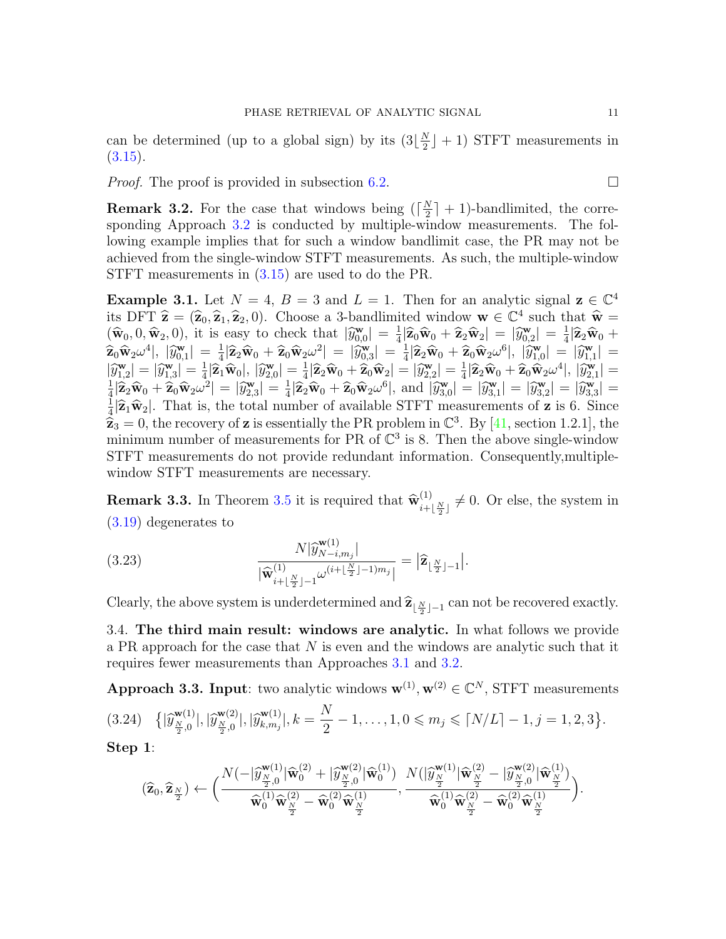can be determined (up to a global sign) by its  $(3|\frac{N}{2})$  $\frac{N}{2}$  + 1) STFT measurements in  $(3.15).$  $(3.15).$ 

*Proof.* The proof is provided in subsection [6.2.](#page-16-0)

<span id="page-10-0"></span>**Remark 3.2.** For the case that windows being  $\left(\frac{N}{2}\right)$  $\frac{N}{2}$  + 1)-bandlimited, the corre-sponding Approach [3.2](#page-8-0) is conducted by multiple-window measurements. The following example implies that for such a window bandlimit case, the PR may not be achieved from the single-window STFT measurements. As such, the multiple-window STFT measurements in  $(3.15)$  are used to do the PR.

<span id="page-10-1"></span>**Example 3.1.** Let  $N = 4$ ,  $B = 3$  and  $L = 1$ . Then for an analytic signal  $z \in \mathbb{C}^4$ its DFT  $\hat{\mathbf{z}} = (\hat{\mathbf{z}}_0, \hat{\mathbf{z}}_1, \hat{\mathbf{z}}_2, 0)$ . Choose a 3-bandlimited window  $\mathbf{w} \in \mathbb{C}^4$  such that  $\hat{\mathbf{w}} = (\hat{\mathbf{w}}_0, 0, \hat{\mathbf{w}}_1, 0)$  it is easy to chock that  $|\hat{\mathbf{w}}| = 1|\hat{\mathbf{z}}_1\hat{\mathbf{w}}_1 + \hat{\mathbf{$  $(\widehat{\mathbf{w}}_0, 0, \widehat{\mathbf{w}}_2, 0),$  it is easy to check that  $|\widetilde{y}_{0,0}^{\mathbf{w}}| = \frac{1}{4} |\widehat{\mathbf{z}}_0 \widehat{\mathbf{w}}_0 + \widehat{\mathbf{z}}_2 \widehat{\mathbf{w}}_2| = |\widehat{y}_{0,2}^{\mathbf{w}}| = \frac{1}{4} |\widehat{\mathbf{z}}_2 \widehat{\mathbf{w}}_0 + \widehat{\mathbf{z}}_2 \widehat{\mathbf{w}}_1| \leq \widehat{\mathbf{z}}_1 + \$  $\left| \frac{\mathbf{w}}{0,0} \right| \, = \, \frac{1}{4} | \widehat{\mathbf{Z}}_0 \widehat{\mathbf{w}}_0 + \widehat{\mathbf{z}}_2 \widehat{\mathbf{w}}_2 | \, = \, | \widehat{y}^{\mathbf{w}}_{0,2} | \, = \, \frac{1}{4}$  $\left| \widehat{\mathbf{z}}_0 \widehat{\mathbf{w}}_2 \omega^4 \right|, \, \left| \widehat{y}^{\mathbf{w}}_{0,1} \right| \, = \frac{1}{4}$  $\frac{1}{4}|\widehat{\mathbf{z}}_2\widehat{\mathbf{w}}_0 + \widehat{\mathbf{z}}_0\widehat{\mathbf{w}}_2\omega^2| = |\widehat{y}^{\mathbf{w}}_{0,3}| = \frac{1}{4}$  $\frac{1}{4}|\widehat{\mathbf{z}}_2\widehat{\mathbf{w}}_0 + \widehat{\mathbf{z}}_0\widehat{\mathbf{w}}_2\omega^6|, |\widehat{y}_{1,0}^{\mathbf{w}}| = |\widehat{y}_{1,1}^{\mathbf{w}}| =$  $|\widehat{y}^{\mathbf{w}}_{1,2}| = |\widehat{y}^{\mathbf{w}}_{1,3}| = \frac{1}{4}$ <br> $\lim_{n \to \infty} |\widehat{y}^{\mathbf{w}}_{1,n}| = |\widehat{y}^{\mathbf{w}}_{1,n}|$  $\frac{1}{4}|\widehat{\mathbf{z}}_1\widehat{\mathbf{w}}_0|, |\widehat{y}_{2,0}^{\mathbf{w}}| = \frac{1}{4}$ <br> $\mathbf{z}_1$  $\frac{1}{4}|\widehat{\mathbf{z}}_2\widehat{\mathbf{w}}_0 + \widehat{\mathbf{z}}_0\widehat{\mathbf{w}}_2| = |\widehat{y}_{2,2}^{\mathbf{w}}| = \frac{1}{4}$  $\frac{1}{4}|\widehat{\mathbf{z}}_2\widehat{\mathbf{w}}_0+\widehat{\mathbf{z}}_0\widehat{\mathbf{w}}_2\omega^4|,\,|\widehat{y}^{\mathbf{w}}_{2,1}| =$ 1  $\frac{1}{4}|\widehat{\mathbf{z}}_2\widehat{\mathbf{w}}_0+\widehat{\mathbf{z}}_0\widehat{\mathbf{w}}_2\omega^2| = |\widehat{y}^{\mathbf{w}}_{2,3}| = \frac{1}{4}$  $\frac{1}{4}|\hat{\mathbf{z}}_2\hat{\mathbf{w}}_0 + \hat{\mathbf{z}}_0\hat{\mathbf{w}}_2\omega^6|$ , and  $|\hat{y}_{3,0}^{\mathbf{w}}| = |\hat{y}_{3,1}^{\mathbf{w}}| = |\hat{y}_{3,2}^{\mathbf{w}}| = |\hat{y}_{3,3}^{\mathbf{w}}| =$ 1  $\frac{1}{4}|\hat{\mathbf{z}}_1\hat{\mathbf{w}}_2|$ . That is, the total number of available STFT measurements of **z** is 6. Since  $\hat{\mathbf{z}}_1 = 0$  the receiven of **z** is essentially the PP problem in  $\mathbb{C}^3$ . By [41, section 1.2.1], the  $\vec{z}_3 = 0$ , the recovery of **z** is essentially the PR problem in  $\mathbb{C}^3$ . By [\[41,](#page-22-0) section 1.2.1], the minimum number of measurements for PB of  $\mathbb{C}^3$  is 8. Then the above single window minimum number of measurements for PR of  $\mathbb{C}^3$  is 8. Then the above single-window STFT measurements do not provide redundant information. Consequently,multiplewindow STFT measurements are necessary.

**Remark 3.3.** In Theorem [3.5](#page-9-0) it is required that  $\widehat{\mathbf{w}}_{i+1}^{(1)}$  $\sum_{i+\lfloor \frac{N}{2} \rfloor}^{(1)} \neq 0$ . Or else, the system in [\(3.19\)](#page-9-2) degenerates to

(3.23) 
$$
\frac{N|\widehat{y}_{N-i,m_j}^{\mathbf{w}(1)}|}{|\widehat{\mathbf{w}}_{i+\lfloor \frac{N}{2} \rfloor-1}^{(1)}\omega^{(i+\lfloor \frac{N}{2} \rfloor-1)m_j}|} = |\widehat{\mathbf{z}}_{\lfloor \frac{N}{2} \rfloor-1}|.
$$

Clearly, the above system is underdetermined and  $\widehat{\mathbf{z}}_{\lfloor \frac{N}{2} \rfloor - 1}$  can not be recovered exactly.

<span id="page-10-3"></span>3.4. The third main result: windows are analytic. In what follows we provide a PR approach for the case that  $N$  is even and the windows are analytic such that it requires fewer measurements than Approaches [3.1](#page-7-1) and [3.2.](#page-8-0)

<span id="page-10-4"></span><span id="page-10-2"></span>Approach 3.3. Input: two analytic windows  $\mathbf{w}^{(1)}, \mathbf{w}^{(2)} \in \mathbb{C}^N$ , STFT measurements  $\big\{|\widehat{y}_{\frac{N}{2},0}^{\mathbf{w}(1)}|,|\widehat{y}_{\frac{N}{2},0}^{\mathbf{w}(2)}|,|\widehat{y}_{k,m_j}^{\mathbf{w}(1)}\big\}$  $\binom{w(1)}{k,m_j}, k = \frac{N}{2}$ (3.24)  $\{|\hat{y}_{\frac{N}{2},0}^{\mathbf{w}(1)}|,|\hat{y}_{\frac{N}{2},0}^{\mathbf{w}(2)}|,|\hat{y}_{k,m_j}^{\mathbf{w}(1)}|,k=\frac{N}{2}-1,\ldots,1,0\leqslant m_j\leqslant\lceil N/L\rceil-1,j=1,2,3\}.$ 

Step 1:

$$
(\widehat{\mathbf{z}}_0,\widehat{\mathbf{z}}_{\frac{N}{2}})\leftarrow\Big(\frac{N(-|\widehat{y}_{\frac{N}{2},0}^{\mathbf{w}(1)}|\widehat{\mathbf{w}}_0^{(2)} + |\widehat{y}_{\frac{N}{2},0}^{\mathbf{w}(2)}|\widehat{\mathbf{w}}_0^{(1)})}{\widehat{\mathbf{w}}_0^{(1)}\widehat{\mathbf{w}}_{\frac{N}{2}}^{(2)}-\widehat{\mathbf{w}}_0^{(2)}\widehat{\mathbf{w}}_{\frac{N}{2}}^{(1)}},\frac{N(|\widehat{y}_{\frac{N}{2}}^{\mathbf{w}(1)}|\widehat{\mathbf{w}}_{\frac{N}{2}}^{(2)} - |\widehat{y}_{\frac{N}{2},0}^{\mathbf{w}(2)}|\widehat{\mathbf{w}}_{\frac{N}{2}}^{(1)})}{\widehat{\mathbf{w}}_0^{(1)}\widehat{\mathbf{w}}_{\frac{N}{2}}^{(2)}-\widehat{\mathbf{w}}_0^{(2)}\widehat{\mathbf{w}}_{\frac{N}{2}}^{(1)}}\Big).
$$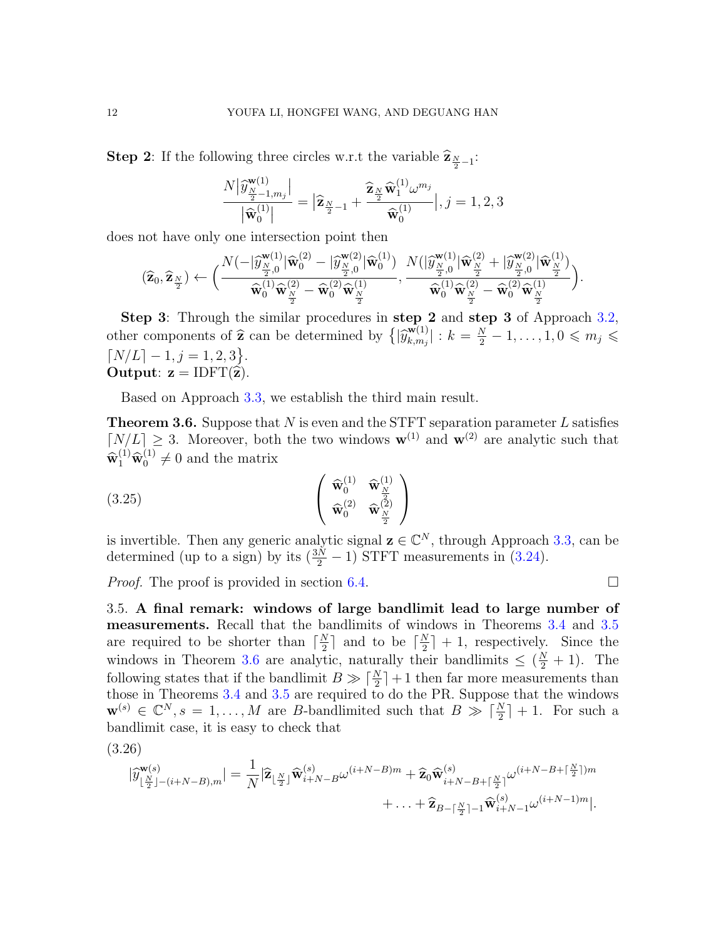**Step 2:** If the following three circles w.r.t the variable  $\hat{\mathbf{z}}_{\frac{N}{2}-1}$ :

$$
\frac{N\big|\widehat{\boldsymbol{y}}_{\frac{N}{2}-1,m_j}^{\mathbf{w}(1)}\big|}{\big|\widehat{\mathbf{w}}_0^{(1)}\big|} = \big|\widehat{\mathbf{z}}_{\frac{N}{2}-1} + \frac{\widehat{\mathbf{z}}_{\frac{N}{2}}\widehat{\mathbf{w}}_1^{(1)}\boldsymbol{\omega}^{m_j}}{\widehat{\mathbf{w}}_0^{(1)}}\big|, j=1,2,3
$$

does not have only one intersection point then

$$
(\widehat{\mathbf{z}}_0,\widehat{\mathbf{z}}_{\frac{N}{2}})\leftarrow \Big(\frac{N(-|\widehat{y}_{\frac{N}{2},0}^{\mathbf{w}(1)}|\widehat{\mathbf{w}}_0^{(2)}-|\widehat{y}_{\frac{N}{2},0}^{\mathbf{w}(2)}|\widehat{\mathbf{w}}_0^{(1)})}{\widehat{\mathbf{w}}_0^{(1)}\widehat{\mathbf{w}}_{\frac{N}{2}}^{(2)}-\widehat{\mathbf{w}}_0^{(2)}\widehat{\mathbf{w}}_{\frac{N}{2}}^{(1)}},\frac{N(|\widehat{y}_{\frac{N}{2},0}^{\mathbf{w}(1)}|\widehat{\mathbf{w}}_{\frac{N}{2}}^{(2)}+|\widehat{y}_{\frac{N}{2},0}^{\mathbf{w}(2)}|\widehat{\mathbf{w}}_{\frac{N}{2}}^{(1)})}{\widehat{\mathbf{w}}_0^{(1)}\widehat{\mathbf{w}}_{\frac{N}{2}}^{(2)}-\widehat{\mathbf{w}}_0^{(2)}\widehat{\mathbf{w}}_{\frac{N}{2}}^{(1)})}\Big).
$$

Step 3: Through the similar procedures in step 2 and step 3 of Approach [3.2,](#page-8-0) other components of  $\hat{\mathbf{z}}$  can be determined by  $\{|\hat{y}_{k,m_j}^{\mathbf{w}(1)}\rangle$  $\vert_{k,m_j}^{\mathbf{w}(1)}\vert: k=\frac{N}{2}-1,\ldots,1,0\leqslant m_j\leqslant k$  $\lceil N/L \rceil - 1, j = 1, 2, 3 \}.$ Output:  $z = IDFT(\hat{z})$ .

Based on Approach [3.3,](#page-10-2) we establish the third main result.

<span id="page-11-0"></span>**Theorem 3.6.** Suppose that  $N$  is even and the STFT separation parameter  $L$  satisfies  $\lfloor N/L \rfloor \geq 3$ . Moreover, both the two windows  $\mathbf{w}^{(1)}$  and  $\mathbf{w}^{(2)}$  are analytic such that  $\widehat{\mathbf{w}}_1^{(1)} \widehat{\mathbf{w}}_0^{(1)} \neq 0$  and the matrix

<span id="page-11-2"></span>
$$
(3.25)
$$
\n
$$
\begin{pmatrix}\n\widehat{\mathbf{w}}_0^{(1)} & \widehat{\mathbf{w}}_N^{(1)} \\
\widehat{\mathbf{w}}_0^{(2)} & \widehat{\mathbf{w}}_N^{(2)}\n\end{pmatrix}
$$

is invertible. Then any generic analytic signal  $\mathbf{z} \in \mathbb{C}^N$ , through Approach [3.3,](#page-10-2) can be determined (up to a sign) by its  $(\frac{3N}{2} - 1)$  STFT measurements in [\(3.24\)](#page-10-4).

*Proof.* The proof is provided in section [6.4.](#page-19-0)

3.5. A final remark: windows of large bandlimit lead to large number of measurements. Recall that the bandlimits of windows in Theorems [3.4](#page-7-0) and [3.5](#page-9-0) are required to be shorter than  $\lceil \frac{N}{2} \rceil$  $\frac{N}{2}$  and to be  $\lceil \frac{N}{2} \rceil$  $\frac{N}{2}$  + 1, respectively. Since the windows in Theorem [3.6](#page-11-0) are analytic, naturally their bandlimits  $\leq (\frac{N}{2} + 1)$ . The following states that if the bandlimit  $B \gg \lceil \frac{N}{2} \rceil + 1$  then far more measurements than those in Theorems [3.4](#page-7-0) and [3.5](#page-9-0) are required to do the PR. Suppose that the windows  $\mathbf{w}^{(s)} \in \mathbb{C}^N, s = 1, \ldots, M$  are B-bandlimited such that  $B \gg \lceil \frac{N}{2} \rceil + 1$ . For such a bandlimit case, it is easy to check that

<span id="page-11-1"></span>(3.26)

$$
|\widehat{y}_{\lfloor \frac{N}{2}\rfloor - (i+N-B),m}^{\mathbf{w}(s)}| = \frac{1}{N} |\widehat{\mathbf{z}}_{\lfloor \frac{N}{2}\rfloor} \widehat{\mathbf{w}}_{i+N-B}^{(s)} \omega^{(i+N-B)m} + \widehat{\mathbf{z}}_0 \widehat{\mathbf{w}}_{i+N-B+\lceil \frac{N}{2}\rceil}^{(s)} \omega^{(i+N-B+\lceil \frac{N}{2}\rceil)m} + \ldots + \widehat{\mathbf{z}}_{B-\lceil \frac{N}{2}\rceil - 1} \widehat{\mathbf{w}}_{i+N-1}^{(s)} \omega^{(i+N-1)m} |.
$$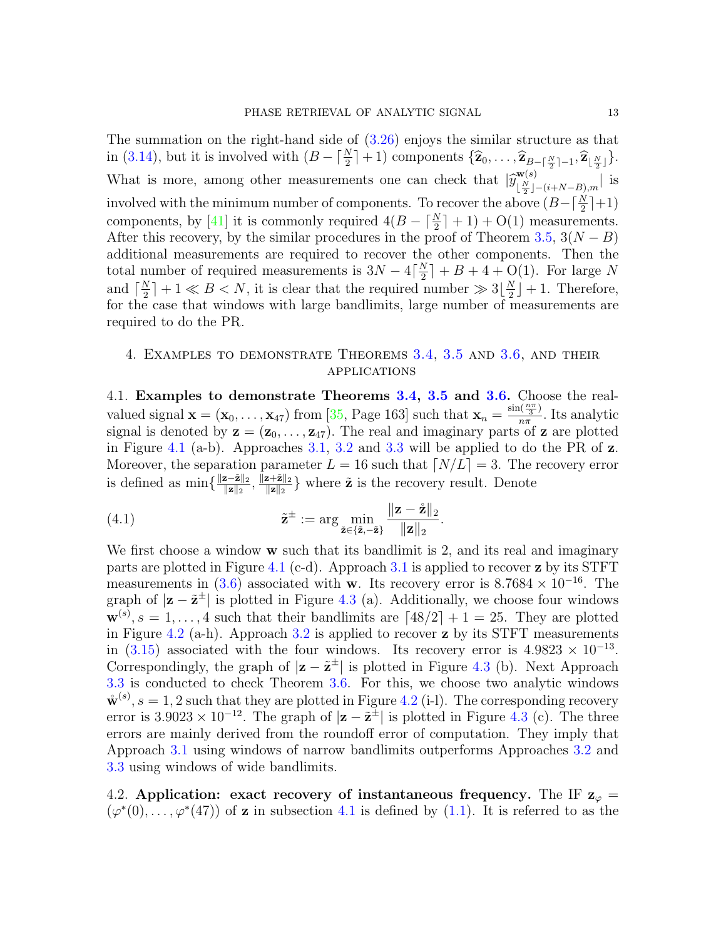The summation on the right-hand side of [\(3.26\)](#page-11-1) enjoys the similar structure as that in [\(3.14\)](#page-8-2), but it is involved with  $(B - \lceil \frac{N}{2} \rceil + 1)$  components  $\{\hat{\mathbf{z}}_0, \ldots, \hat{\mathbf{z}}_{B - \lceil \frac{N}{2} \rceil - 1}, \hat{\mathbf{z}}_{\lfloor \frac{N}{2} \rfloor}\}.$ What is more, among other measurements one can check that  $|\hat{y}_{\lfloor \frac{N}{2} \rfloor}^{w(s)}|$ .  $\frac{w(s)}{\lfloor \frac{N}{2} \rfloor - (i+N-B),m}$  is involved with the minimum number of components. To recover the above  $(B - \lceil \frac{N}{2} \rceil + 1)$ components, by [\[41\]](#page-22-0) it is commonly required  $4(B - \lceil \frac{N}{2} \rceil + 1) + O(1)$  measurements. After this recovery, by the similar procedures in the proof of Theorem [3.5,](#page-9-0)  $3(N - B)$ additional measurements are required to recover the other components. Then the total number of required measurements is  $3N - 4\left[\frac{N}{2}\right]$  $\frac{N}{2}$  + B + 4 + O(1). For large N and  $\lceil \frac{N}{2} \rceil$  $\frac{N}{2}$  | + 1  $\ll B \lt N$ , it is clear that the required number  $\gg 3\lfloor \frac{N}{2} \rfloor$  $\frac{N}{2}$  + 1. Therefore, for the case that windows with large bandlimits, large number of measurements are required to do the PR.

## <span id="page-12-1"></span>4. Examples to demonstrate Theorems [3.4,](#page-7-0) [3.5](#page-9-0) and [3.6,](#page-11-0) and their applications

<span id="page-12-0"></span>4.1. Examples to demonstrate Theorems [3.4,](#page-7-0) [3.5](#page-9-0) and [3.6.](#page-11-0) Choose the realvalued signal  $\mathbf{x} = (\mathbf{x}_0, \dots, \mathbf{x}_{47})$  from [\[35,](#page-21-21) Page 163] such that  $\mathbf{x}_n = \frac{\sin(\frac{n\pi}{3})}{n\pi}$  $\frac{\ln(\frac{1}{3})}{n\pi}$ . Its analytic signal is denoted by  $z = (z_0, \ldots, z_{47})$ . The real and imaginary parts of z are plotted in Figure [4.1](#page-13-1) (a-b). Approaches [3.1,](#page-7-1) [3.2](#page-8-0) and [3.3](#page-10-2) will be applied to do the PR of  $z$ . Moreover, the separation parameter  $L = 16$  such that  $\lfloor N/L \rfloor = 3$ . The recovery error is defined as  $\min\{\frac{\|\mathbf{z}-\tilde{\mathbf{z}}\|_2}{\|\mathbf{z}\|_2}$  $\frac{\mathbf{z}-\tilde{\mathbf{z}}\|_2}{\|\mathbf{z}\|_2},\, \frac{\|\mathbf{z}+\tilde{\mathbf{z}}\|_2}{\|\mathbf{z}\|_2}$  $\frac{\mathbf{z} + \mathbf{z}_{\parallel 2}}{\|\mathbf{z}\|_2}$  where  $\tilde{\mathbf{z}}$  is the recovery result. Denote

<span id="page-12-3"></span>(4.1) 
$$
\tilde{\mathbf{z}}^{\pm} := \arg \min_{\tilde{\mathbf{z}} \in \{\tilde{\mathbf{z}}, -\tilde{\mathbf{z}}\}} \frac{\|\mathbf{z} - \mathring{\mathbf{z}}\|_2}{\|\mathbf{z}\|_2}.
$$

We first choose a window  $\bf{w}$  such that its bandlimit is 2, and its real and imaginary parts are plotted in Figure [4.1](#page-13-1) (c-d). Approach  $3.1$  is applied to recover z by its STFT measurements in [\(3.6\)](#page-7-2) associated with w. Its recovery error is  $8.7684 \times 10^{-16}$ . The graph of  $|z - \tilde{z}^{\pm}|$  is plotted in Figure [4.3](#page-15-0) (a). Additionally, we choose four windows  $\mathbf{w}^{(s)}, s = 1, \ldots, 4$  such that their bandlimits are  $\lceil 48/2 \rceil + 1 = 25$ . They are plotted in Figure [4.2](#page-14-0) (a-h). Approach  $3.2$  is applied to recover z by its STFT measurements in [\(3.15\)](#page-8-5) associated with the four windows. Its recovery error is  $4.9823 \times 10^{-13}$ . Correspondingly, the graph of  $|z - \tilde{z}^{\pm}|$  is plotted in Figure [4.3](#page-15-0) (b). Next Approach [3.3](#page-10-2) is conducted to check Theorem [3.6.](#page-11-0) For this, we choose two analytic windows  $\mathbf{\mathring{w}}^{(s)}, s = 1, 2$  such that they are plotted in Figure [4.2](#page-14-0) (i-1). The corresponding recovery error is 3.9023 × 10<sup>-12</sup>. The graph of  $|z - \tilde{z}^{\pm}|$  is plotted in Figure [4.3](#page-15-0) (c). The three errors are mainly derived from the roundoff error of computation. They imply that Approach [3.1](#page-7-1) using windows of narrow bandlimits outperforms Approaches [3.2](#page-8-0) and [3.3](#page-10-2) using windows of wide bandlimits.

<span id="page-12-2"></span>4.2. Application: exact recovery of instantaneous frequency. The IF  $z_{\varphi} =$  $(\varphi^*(0), \ldots, \varphi^*(47))$  of **z** in subsection [4.1](#page-12-0) is defined by [\(1.1\)](#page-2-0). It is referred to as the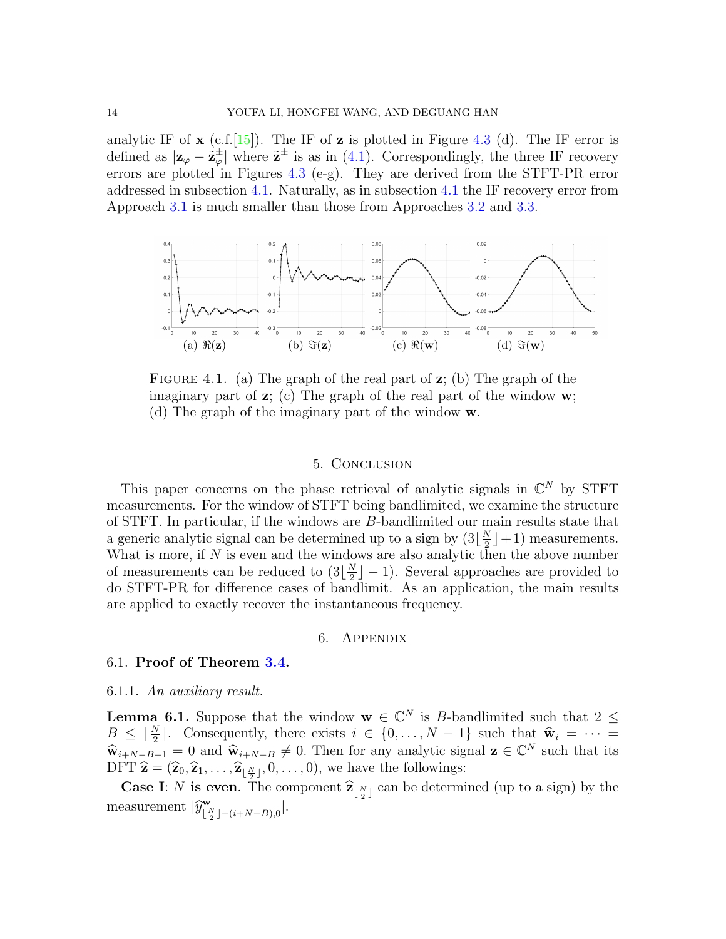analytic IF of  $\mathbf x$  (c.f. [\[15\]](#page-20-13)). The IF of  $\mathbf z$  is plotted in Figure [4.3](#page-15-0) (d). The IF error is defined as  $|z_{\varphi} - \tilde{z}_{\varphi}^{\pm}|$  $\frac{1}{\varphi}$  where  $\tilde{\mathbf{z}}^{\pm}$  is as in [\(4.1\)](#page-12-3). Correspondingly, the three IF recovery errors are plotted in Figures [4.3](#page-15-0) (e-g). They are derived from the STFT-PR error addressed in subsection [4.1.](#page-12-0) Naturally, as in subsection [4.1](#page-12-0) the IF recovery error from Approach [3.1](#page-7-1) is much smaller than those from Approaches [3.2](#page-8-0) and [3.3.](#page-10-2)

<span id="page-13-1"></span>

FIGURE 4.1. (a) The graph of the real part of  $z$ ; (b) The graph of the imaginary part of  $z$ ; (c) The graph of the real part of the window  $w$ ; (d) The graph of the imaginary part of the window w.

### 5. Conclusion

This paper concerns on the phase retrieval of analytic signals in  $\mathbb{C}^N$  by STFT measurements. For the window of STFT being bandlimited, we examine the structure of STFT. In particular, if the windows are B-bandlimited our main results state that a generic analytic signal can be determined up to a sign by  $(3\frac{N}{2})$  $\frac{N}{2}$  | + 1) measurements. What is more, if  $N$  is even and the windows are also analytic then the above number of measurements can be reduced to  $(3|\frac{N}{2})$  $\frac{N}{2}$  – 1). Several approaches are provided to do STFT-PR for difference cases of bandlimit. As an application, the main results are applied to exactly recover the instantaneous frequency.

#### 6. Appendix

### <span id="page-13-0"></span>6.1. Proof of Theorem [3.4.](#page-7-0)

### 6.1.1. An auxiliary result.

<span id="page-13-2"></span>**Lemma 6.1.** Suppose that the window  $\mathbf{w} \in \mathbb{C}^N$  is B-bandlimited such that  $2 \leq$  $B \leq \lceil \frac{N}{2} \rceil$ . Consequently, there exists  $i \in \{0, ..., N-1\}$  such that  $\widehat{\mathbf{w}}_i = \cdots =$  $\hat{\mathbf{w}}_{i+N-B-1} = 0$  and  $\hat{\mathbf{w}}_{i+N-B} \neq 0$ . Then for any analytic signal  $\mathbf{z} \in \mathbb{C}^N$  such that its<br>DET  $\hat{\mathbf{z}} = (\hat{\mathbf{z}}, \hat{\mathbf{z}}, \hat{\mathbf{z}}, \hat{\mathbf{z}}, \hat{\mathbf{z}}, \hat{\mathbf{z}}, \hat{\mathbf{z}}, \hat{\mathbf{z}}, \hat{\mathbf{z}}, \hat{\mathbf{z}}, \hat{\mathbf{z}}, \hat{\mathbf{z}}, \hat$ DFT  $\hat{\mathbf{z}} = (\hat{\mathbf{z}}_0, \hat{\mathbf{z}}_1, \dots, \hat{\mathbf{z}}_{\lfloor \frac{N}{2} \rfloor}, 0, \dots, 0)$ , we have the followings:

**Case I:** N is even. The component  $\hat{\mathbf{z}}_{\lfloor \frac{N}{2} \rfloor}$  can be determined (up to a sign) by the measurement  $|\hat{y}_{\lfloor \frac{l}{2} \rfloor}^{\mathbf{w}}$  $\frac{\mathbf{w}}{\lfloor \frac{N}{2} \rfloor - (i+N-B),0}$ .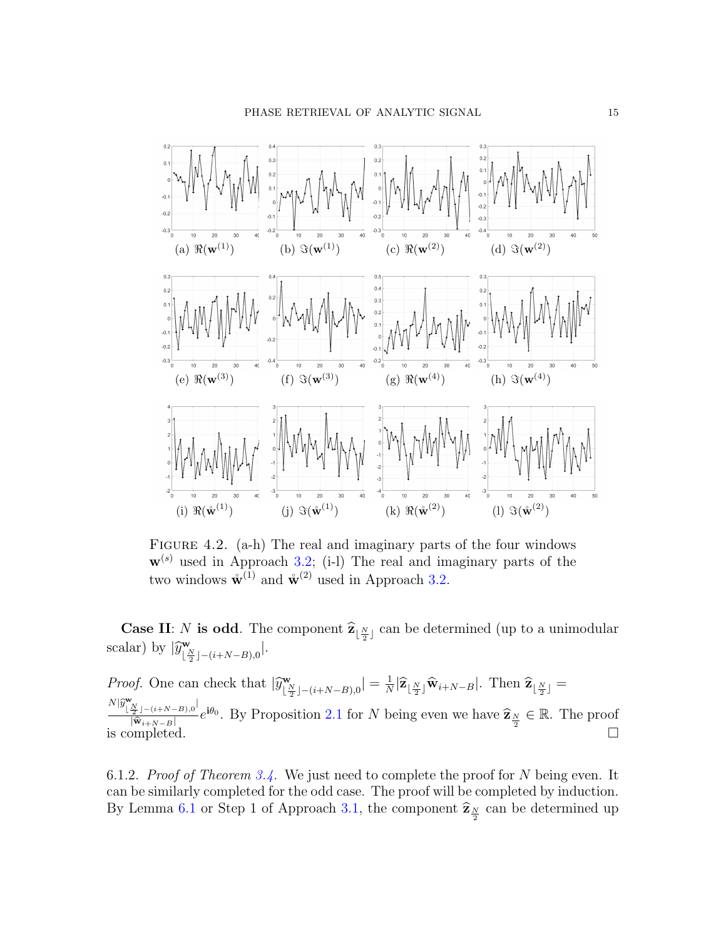<span id="page-14-0"></span>

FIGURE 4.2. (a-h) The real and imaginary parts of the four windows  $\mathbf{w}^{(s)}$  used in Approach [3.2;](#page-8-0) (i-l) The real and imaginary parts of the two windows  $\mathring{\mathbf{w}}^{(1)}$  and  $\mathring{\mathbf{w}}^{(2)}$  used in Approach [3.2.](#page-8-0)

**Case II:** N is odd. The component  $\hat{\mathbf{z}}_{\lfloor \frac{N}{2} \rfloor}$  can be determined (up to a unimodular scalar) by  $|\hat{y}_{\lfloor \frac{l}{2} \rfloor}^{\mathbf{w}}$  $\frac{1}{2} \sum_{i=1}^{N} \frac{1}{i} - (i + N - B)$ <sub>,0</sub>

*Proof.* One can check that  $|\hat{y}_{\left[\frac{1}{2}\right]}^{\mathbf{w}}|$  $\frac{\mathbf{w}}{\lfloor\frac{N}{2}\rfloor-(i+N-B),0}$   $|=\frac{1}{N}$  $\frac{1}{N}|\widehat{\mathbf{z}}_{\lfloor \frac{N}{2}\rfloor}\widehat{\mathbf{w}}_{i+N-B}|$ . Then  $\widehat{\mathbf{z}}_{\lfloor \frac{N}{2}\rfloor}=$  $N|\hat{y}^{\mathbf{w}}_{\lfloor \frac{N}{2} \rfloor-(i+N-B),0}|$  $\frac{\frac{N}{2} \int -(i+N-B)_{,0}^{N} e^{i\theta_0}}{\sqrt{\hat{w}_{i+N-B}}}$ . By Proposition [2.1](#page-5-1) for N being even we have  $\hat{\mathbf{z}}_{\frac{N}{2}} \in \mathbb{R}$ . The proof is completed.  $\square$ 

6.1.2. Proof of Theorem [3.4.](#page-7-0) We just need to complete the proof for N being even. It can be similarly completed for the odd case. The proof will be completed by induction. By Lemma [6.1](#page-13-2) or Step 1 of Approach [3.1,](#page-7-1) the component  $\hat{\mathbf{z}}_{\frac{N}{2}}$  can be determined up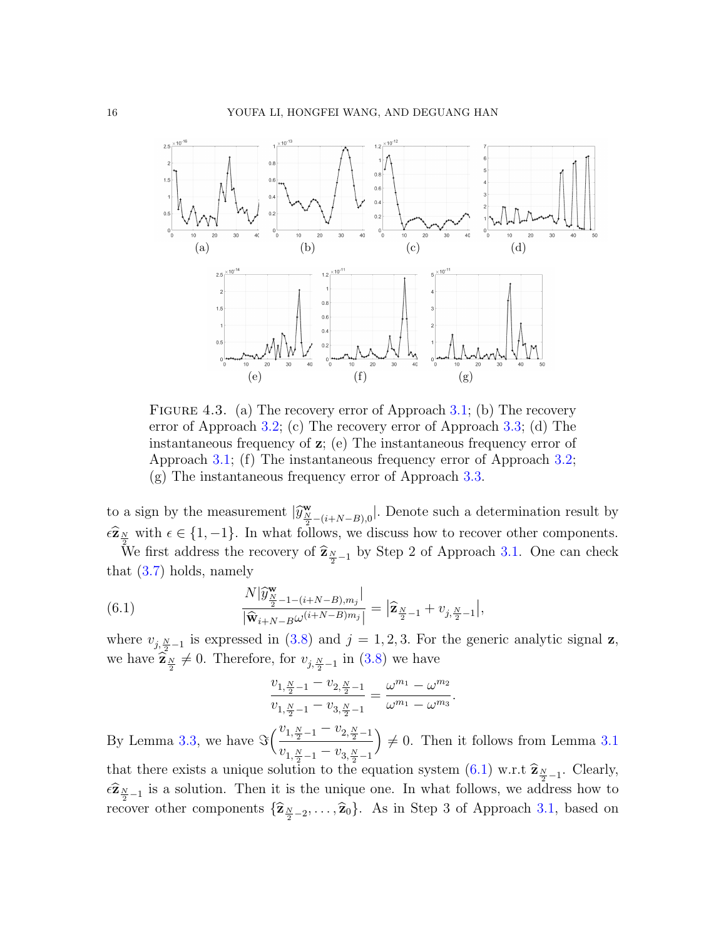<span id="page-15-0"></span>

FIGURE 4.3. (a) The recovery error of Approach [3.1;](#page-7-1) (b) The recovery error of Approach [3.2;](#page-8-0) (c) The recovery error of Approach [3.3;](#page-10-2) (d) The instantaneous frequency of z; (e) The instantaneous frequency error of Approach [3.1;](#page-7-1) (f) The instantaneous frequency error of Approach [3.2;](#page-8-0) (g) The instantaneous frequency error of Approach [3.3.](#page-10-2)

to a sign by the measurement  $|\hat{y}_{N-(i+N-B),0}^{\mathbf{w}}|$ . Denote such a determination result by  $\epsilon \widehat{\mathbf{z}}_{N}$  with  $\epsilon \in \{1, -1\}$ . In what follows, we discuss how to recover other components.

We first address the recovery of  $\hat{\mathbf{z}}_{\frac{N}{2}-1}$  by Step 2 of Approach [3.1.](#page-7-1) One can check that [\(3.7\)](#page-7-3) holds, namely

<span id="page-15-1"></span>(6.1) 
$$
\frac{N|\widehat{y}_{\frac{N}{2}-1-(i+N-B),m_j}|}{|\widehat{\mathbf{w}}_{i+N-B}\omega^{(i+N-B)m_j}|} = |\widehat{\mathbf{z}}_{\frac{N}{2}-1} + v_{j,\frac{N}{2}-1}|,
$$

where  $v_{j, \frac{N}{2}-1}$  is expressed in [\(3.8\)](#page-7-4) and  $j = 1, 2, 3$ . For the generic analytic signal **z**, we have  $\hat{\mathbf{z}}_{\frac{N}{2}} \neq 0$ . Therefore, for  $v_{j, \frac{N}{2}-1}$  in [\(3.8\)](#page-7-4) we have

$$
\frac{v_{1,\frac{N}{2}-1} - v_{2,\frac{N}{2}-1}}{v_{1,\frac{N}{2}-1} - v_{3,\frac{N}{2}-1}} = \frac{\omega^{m_1} - \omega^{m_2}}{\omega^{m_1} - \omega^{m_3}}.
$$

By Lemma [3.3,](#page-5-3) we have  $\Im\left(\frac{v_{1,\frac{N}{2}-1} - v_{2,\frac{N}{2}-1}}{1\right)$  $v_{1,\frac{N}{2}-1} - v_{3,\frac{N}{2}-1}$  $\Big) \neq 0$ . Then it follows from Lemma [3.1](#page-5-2)

that there exists a unique solution to the equation system  $(6.1)$  w.r.t  $\hat{\mathbf{z}}_{N-1}$ . Clearly,  $\epsilon \hat{\mathbf{z}}_{\frac{N}{2}-1}$  is a solution. Then it is the unique one. In what follows, we address how to recover other components  $\{\widehat{\mathbf{z}}_{\frac{N}{2}-2},\ldots,\widehat{\mathbf{z}}_0\}$ . As in Step 3 of Approach [3.1,](#page-7-1) based on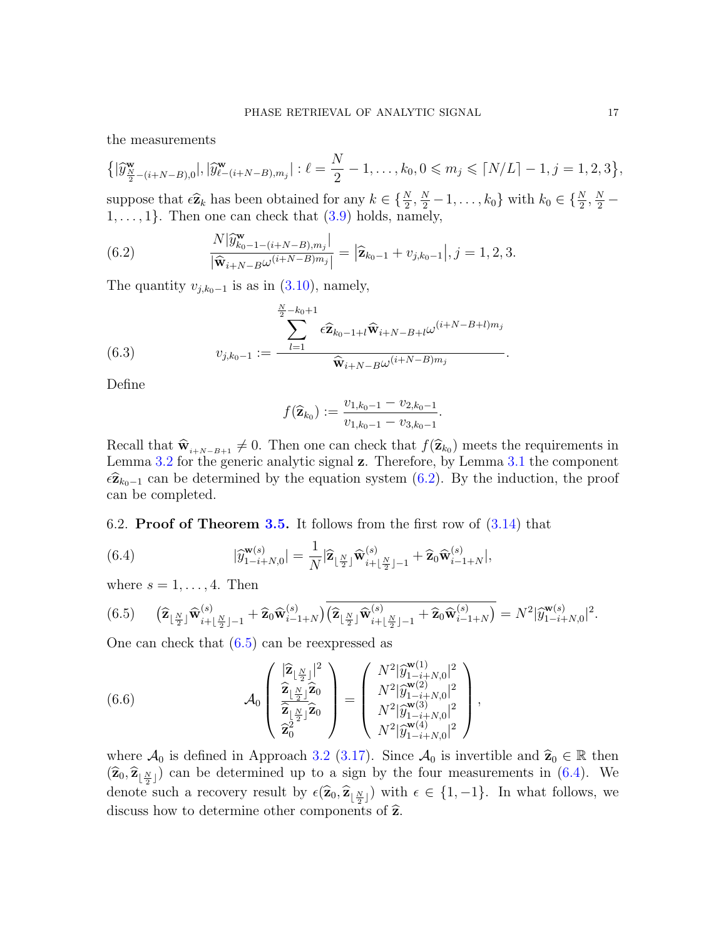the measurements

$$
\left\{ |\widehat{y}^{\mathbf{w}}_{\frac{N}{2}-(i+N-B),0}|,|\widehat{y}^{\mathbf{w}}_{\ell-(i+N-B),m_j}|: \ell=\frac{N}{2}-1,\ldots,k_0,0\leqslant m_j\leqslant \lceil N/L\rceil-1,j=1,2,3\right\},\right\}
$$

suppose that  $\epsilon \hat{\mathbf{z}}_k$  has been obtained for any  $k \in \{\frac{N}{2}, \frac{N}{2} - 1, \ldots, k_0\}$  with  $k_0 \in \{\frac{N}{2}, \frac{N}{2} - 1, \ldots, k_0\}$  $1, \ldots, 1$ . Then one can check that  $(3.9)$  holds, namely,

<span id="page-16-1"></span>(6.2) 
$$
\frac{N|\widehat{y}_{k_0-1-(i+N-B),m_j}^{\mathbf{w}}|}{|\widehat{\mathbf{w}}_{i+N-B}\omega^{(i+N-B)m_j}|} = |\widehat{\mathbf{z}}_{k_0-1} + v_{j,k_0-1}|, j=1,2,3.
$$

The quantity  $v_{j,k_0-1}$  is as in  $(3.10)$ , namely,

(6.3) 
$$
v_{j,k_0-1} := \frac{\sum_{l=1}^{N} \epsilon \widehat{\mathbf{z}}_{k_0-1+l} \widehat{\mathbf{w}}_{i+N-B+l} \omega^{(i+N-B+l)m_j}}{\widehat{\mathbf{w}}_{i+N-B} \omega^{(i+N-B)m_j}}.
$$

Define

$$
f(\widehat{\mathbf{z}}_{k_0}) := \frac{v_{1,k_0-1} - v_{2,k_0-1}}{v_{1,k_0-1} - v_{3,k_0-1}}.
$$

Recall that  $\hat{w}_{i+N-B+1} \neq 0$ . Then one can check that  $f(\hat{z}_{k_0})$  meets the requirements in<br>Lomma 3.2 for the generic analytic signal z. Therefore, by Lomma 3.1 the component Lemma [3.2](#page-5-4) for the generic analytic signal z. Therefore, by Lemma [3.1](#page-5-2) the component  $\epsilon \hat{\mathbf{z}}_{k_0-1}$  can be determined by the equation system [\(6.2\)](#page-16-1). By the induction, the proof can be completed.

<span id="page-16-0"></span>6.2. **Proof of Theorem [3.5.](#page-9-0)** It follows from the first row of  $(3.14)$  that

<span id="page-16-3"></span>(6.4) 
$$
|\widehat{y}_{1-i+N,0}^{\mathbf{w}(s)}| = \frac{1}{N} |\widehat{\mathbf{z}}_{\lfloor \frac{N}{2} \rfloor} \widehat{\mathbf{w}}_{i+\lfloor \frac{N}{2} \rfloor-1}^{(s)} + \widehat{\mathbf{z}}_0 \widehat{\mathbf{w}}_{i-1+N}^{(s)}|,
$$

where  $s = 1, \ldots, 4$ . Then

<span id="page-16-2"></span>
$$
(6.5) \qquad (\widehat{\mathbf{z}}_{\lfloor \frac{N}{2} \rfloor} \widehat{\mathbf{w}}_{i+\lfloor \frac{N}{2} \rfloor-1}^{(s)} + \widehat{\mathbf{z}}_0 \widehat{\mathbf{w}}_{i-1+N}^{(s)}) \overline{(\widehat{\mathbf{z}}_{\lfloor \frac{N}{2} \rfloor} \widehat{\mathbf{w}}_{i+\lfloor \frac{N}{2} \rfloor-1}^{(s)} + \widehat{\mathbf{z}}_0 \widehat{\mathbf{w}}_{i-1+N}^{(s)})} = N^2 |\widehat{y}_{1-i+N,0}^{\mathbf{w}(s)}|^2.
$$

One can check that [\(6.5\)](#page-16-2) can be reexpressed as

(6.6) 
$$
\mathcal{A}_{0}\left(\frac{\left|\hat{\mathbf{z}}_{\lfloor \frac{N}{2}\rfloor}\right|^{2}}{\left|\frac{\hat{\mathbf{z}}_{\lfloor \frac{N}{2}\rfloor}\hat{\mathbf{z}}_{0}}{\left|\hat{\mathbf{z}}_{\lfloor \frac{N}{2}\rfloor}\right|^{2}}\right)}\right) = \left(\frac{N^{2}|\hat{y}_{1-i+N,0}^{\mathbf{w}(1)}|^{2}}{N^{2}|\hat{y}_{1-i+N,0}^{\mathbf{w}(2)}|^{2}}\right),\newline\left(\frac{\hat{\mathbf{z}}_{\lfloor \frac{N}{2}\rfloor}\hat{\mathbf{z}}_{0}}{\left|\hat{\mathbf{z}}_{0}^{2}\right|^{2}}\right) = \left(\frac{N^{2}|\hat{y}_{1-i+N,0}^{\mathbf{w}(1)}|^{2}}{N^{2}|\hat{y}_{1-i+N,0}^{\mathbf{w}(4)}|^{2}}\right),\newline\newline
$$

where  $\mathcal{A}_0$  is defined in Approach [3.2](#page-8-0) [\(3.17\)](#page-9-1). Since  $\mathcal{A}_0$  is invertible and  $\hat{\mathbf{z}}_0 \in \mathbb{R}$  then  $(\widehat{\mathbf{z}}_0, \widehat{\mathbf{z}}_{\lfloor \frac{N}{2} \rfloor})$  can be determined up to a sign by the four measurements in [\(6.4\)](#page-16-3). We denote such a recovery result by  $\epsilon(\hat{\mathbf{z}}_0, \hat{\mathbf{z}}_{\lfloor \frac{N}{2} \rfloor})$  with  $\epsilon \in \{1, -1\}$ . In what follows, we discuss how to determine other components of  $\hat{z}$ .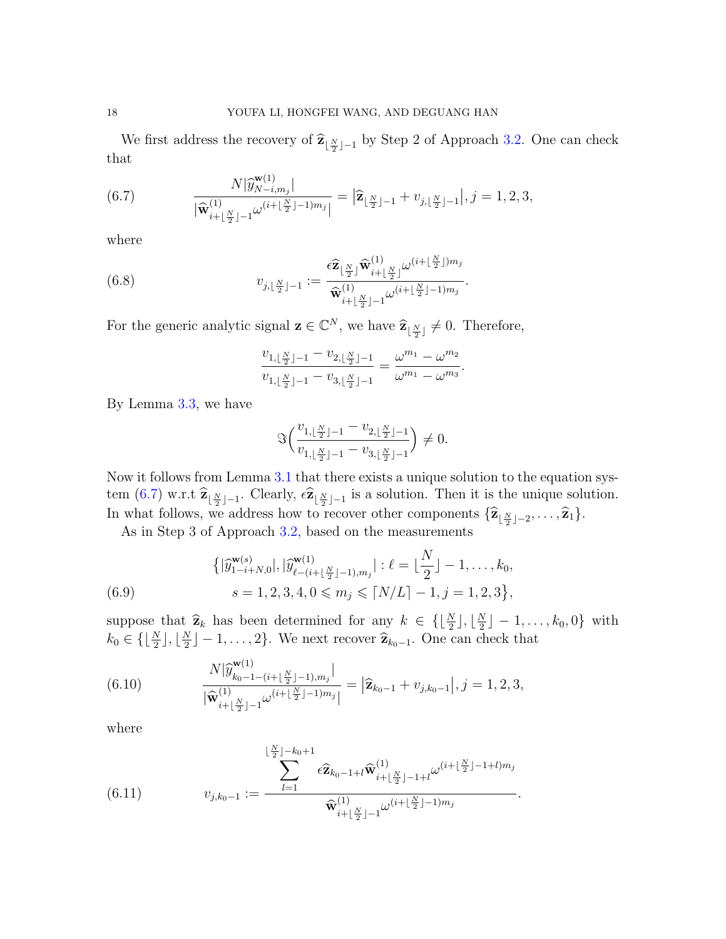We first address the recovery of  $\hat{\mathbf{z}}_{\lfloor \frac{N}{2} \rfloor - 1}$  by Step 2 of Approach [3.2.](#page-8-0) One can check that

<span id="page-17-0"></span>(6.7) 
$$
\frac{N|\hat{y}_{N-i,m_j}^{(\mathbf{u})}|}{|\widehat{\mathbf{w}}_{i+\lfloor \frac{N}{2} \rfloor-1}^{(1)}\omega^{(i+\lfloor \frac{N}{2} \rfloor-1)m_j}|} = |\widehat{\mathbf{z}}_{\lfloor \frac{N}{2} \rfloor-1} + v_{j,\lfloor \frac{N}{2} \rfloor-1}|, j=1,2,3,
$$

where

(6.8) 
$$
v_{j, \lfloor \frac{N}{2} \rfloor - 1} := \frac{\epsilon \widehat{\mathbf{z}}_{\lfloor \frac{N}{2} \rfloor} \widehat{\mathbf{w}}_{i + \lfloor \frac{N}{2} \rfloor}^{(1)} \omega^{(i + \lfloor \frac{N}{2} \rfloor) m_j}}{\widehat{\mathbf{w}}_{i + \lfloor \frac{N}{2} \rfloor - 1}^{(1)} \omega^{(i + \lfloor \frac{N}{2} \rfloor - 1) m_j}}.
$$

For the generic analytic signal  $\mathbf{z} \in \mathbb{C}^N$ , we have  $\widehat{\mathbf{z}}_{\lfloor \frac{N}{2} \rfloor} \neq 0$ . Therefore,

$$
\frac{v_{1,\lfloor\frac{N}{2}\rfloor-1}-v_{2,\lfloor\frac{N}{2}\rfloor-1}}{v_{1,\lfloor\frac{N}{2}\rfloor-1}-v_{3,\lfloor\frac{N}{2}\rfloor-1}}=\frac{\omega^{m_1}-\omega^{m_2}}{\omega^{m_1}-\omega^{m_3}}.
$$

By Lemma [3.3,](#page-5-3) we have

$$
\Im\Big(\frac{v_{1,\lfloor \frac{N}{2} \rfloor-1}-v_{2,\lfloor \frac{N}{2} \rfloor-1}}{v_{1,\lfloor \frac{N}{2} \rfloor-1}-v_{3,\lfloor \frac{N}{2} \rfloor-1}}\Big)\neq 0.
$$

Now it follows from Lemma [3.1](#page-5-2) that there exists a unique solution to the equation system  $(6.7)$  w.r.t  $\hat{\mathbf{z}}_{\lfloor \frac{N}{2} \rfloor - 1}$ . Clearly,  $\epsilon \hat{\mathbf{z}}_{\lfloor \frac{N}{2} \rfloor - 1}$  is a solution. Then it is the unique solution. In what follows, we address how to recover other components  $\{\hat{\mathbf{z}}_{\lfloor \frac{N}{2} \rfloor - 2}, \ldots, \hat{\mathbf{z}}_1\}$ .

As in Step 3 of Approach [3.2,](#page-8-0) based on the measurements

(6.9) 
$$
\{|\hat{y}_{1-i+N,0}^{w(s)}|, |\hat{y}_{\ell-(i+\lfloor \frac{N}{2} \rfloor-1),m_j}^{w(1)}| : \ell = \lfloor \frac{N}{2} \rfloor - 1, \ldots, k_0, \quad s = 1, 2, 3, 4, 0 \le m_j \le \lceil N/L \rceil - 1, j = 1, 2, 3\},
$$

suppose that  $\hat{\mathbf{z}}_k$  has been determined for any  $k \in \{\lfloor \frac{N}{2} \rfloor, \lfloor \frac{N}{2} \rfloor, \lfloor \frac{N}{2} \rfloor, \lfloor \frac{N}{2} \rfloor, \lfloor \frac{N}{2} \rfloor, \lfloor \frac{N}{2} \rfloor, \lfloor \frac{N}{2} \rfloor, \lfloor \frac{N}{2} \rfloor, \lfloor \frac{N}{2} \rfloor, \lfloor \frac{N}{2} \rfloor, \lfloor \frac{N}{2} \rfloor, \lfloor \frac{N}{$  $\frac{N}{2}$ ]  $-1, \ldots, k_0, 0$ } with  $k_0 \in \{\lfloor \frac{N}{2} \rfloor, \lfloor \frac{N}{2} \rfloor\}$  $\left[\frac{N}{2}\right] - 1, \ldots, 2\}.$  We next recover  $\hat{\mathbf{z}}_{k_0-1}$ . One can check that

.

(6.10) 
$$
\frac{N|\widehat{y}_{k_0-1-(i+\lfloor \frac{N}{2} \rfloor-1),m_j}^{(1)}|}{|\widehat{\mathbf{w}}_{i+\lfloor \frac{N}{2} \rfloor-1}^{(1)}\omega^{(i+\lfloor \frac{N}{2} \rfloor-1)m_j}|} = |\widehat{\mathbf{z}}_{k_0-1} + v_{j,k_0-1}|, j=1,2,3,
$$

where

(6.11) 
$$
v_{j,k_0-1} := \frac{\sum_{l=1}^{\lfloor \frac{N}{2} \rfloor - k_0 + 1} \epsilon \widehat{\mathbf{z}}_{k_0-1+l} \widehat{\mathbf{w}}_{i+\lfloor \frac{N}{2} \rfloor - 1+l}^{(1)} \omega^{(i+\lfloor \frac{N}{2} \rfloor - 1+l)m_j}}{\widehat{\mathbf{w}}_{i+\lfloor \frac{N}{2} \rfloor - 1}^{(1)} \omega^{(i+\lfloor \frac{N}{2} \rfloor - 1)m_j}}
$$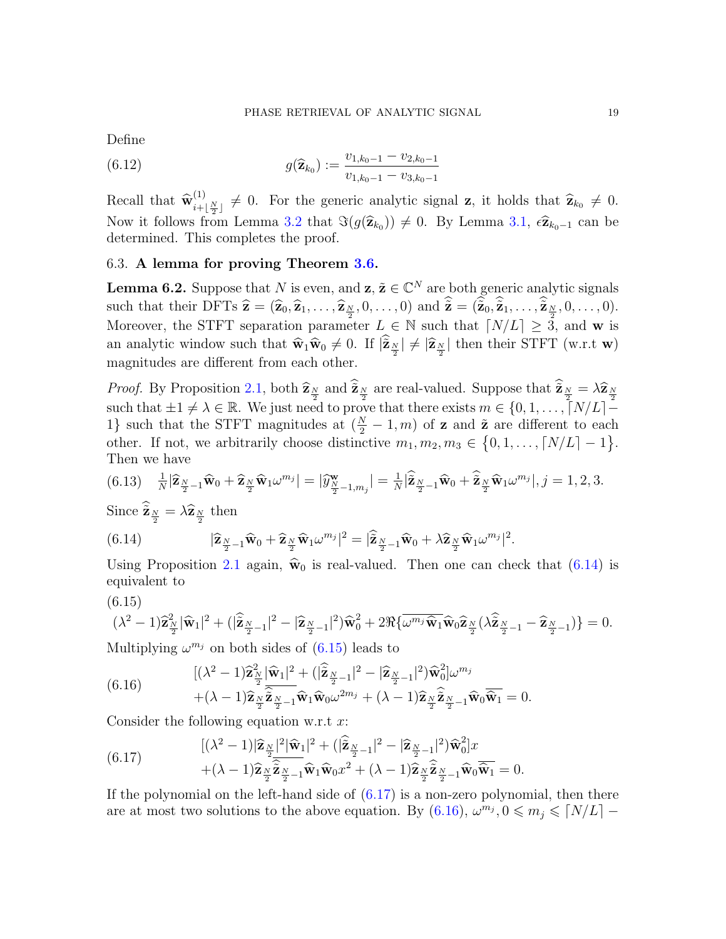Define

(6.12) 
$$
g(\widehat{\mathbf{z}}_{k_0}) := \frac{v_{1,k_0-1} - v_{2,k_0-1}}{v_{1,k_0-1} - v_{3,k_0-1}}
$$

Recall that  $\widehat{\mathbf{w}}_{i+1}^{(1)}$  $\hat{z}_{i+\lfloor \frac{N}{2} \rfloor}^{(1)} \neq 0$ . For the generic analytic signal z, it holds that  $\hat{z}_{k_0} \neq 0$ . Now it follows from Lemma [3.2](#page-5-4) that  $\Im(g(\hat{\mathbf{z}}_{k_0})) \neq 0$ . By Lemma [3.1,](#page-5-2)  $\epsilon \hat{\mathbf{z}}_{k_0-1}$  can be determined. This completes the proof determined. This completes the proof.

## 6.3. A lemma for proving Theorem [3.6.](#page-11-0)

<span id="page-18-4"></span>**Lemma 6.2.** Suppose that N is even, and  $z, \tilde{z} \in \mathbb{C}^N$  are both generic analytic signals such that their DFTs  $\hat{\mathbf{z}} = (\hat{\mathbf{z}}_0, \hat{\mathbf{z}}_1, \dots, \hat{\mathbf{z}}_{\frac{N}{2}}, 0, \dots, 0)$  and  $\tilde{\mathbf{z}} = (\tilde{\mathbf{z}}_0, \tilde{\mathbf{z}}_1, \dots, \tilde{\mathbf{z}}_{\frac{N}{2}}, 0, \dots, 0)$ . Moreover, the STFT separation parameter  $L \in \mathbb{N}$  such that  $\lceil N/L \rceil \geq 3$ , and w is an analytic window such that  $\hat{\mathbf{w}}_1 \hat{\mathbf{w}}_0 \neq 0$ . If  $|\tilde{\mathbf{z}}_{\frac{N}{2}}| \neq |\hat{\mathbf{z}}_{\frac{N}{2}}|$  then their STFT (w.r.t **w**) magnitudes are different from each other.

*Proof.* By Proposition [2.1,](#page-5-1) both  $\hat{\mathbf{z}}_N$  and  $\hat{\mathbf{z}}_N$  are real-valued. Suppose that  $\hat{\mathbf{z}}_N = \lambda \hat{\mathbf{z}}_N$ such that  $\pm 1 \neq \lambda \in \mathbb{R}$ . We just need to prove that there exists  $m \in \{0, 1, \ldots, \lceil N/L \rceil - \}$ 1} such that the STFT magnitudes at  $(\frac{N}{2} - 1, m)$  of **z** and  $\tilde{z}$  are different to each other. If not, we arbitrarily choose distinctive  $m_1, m_2, m_3 \in \{0, 1, \ldots, \lceil N/L \rceil - 1\}.$ Then we have

$$
(6.13) \quad \frac{1}{N}|\widehat{\mathbf{z}}_{\frac{N}{2}-1}\widehat{\mathbf{w}}_0+\widehat{\mathbf{z}}_{\frac{N}{2}}\widehat{\mathbf{w}}_1\omega^{m_j}|=|\widehat{y}_{\frac{N}{2}-1,m_j}^{\mathbf{w}}|=\frac{1}{N}|\widehat{\mathbf{z}}_{\frac{N}{2}-1}\widehat{\mathbf{w}}_0+\widehat{\mathbf{z}}_{\frac{N}{2}}\widehat{\mathbf{w}}_1\omega^{m_j}|,j=1,2,3.
$$

Since  $\tilde{\mathbf{z}}_{\frac{N}{2}} = \lambda \hat{\mathbf{z}}_{\frac{N}{2}}$  then

<span id="page-18-0"></span>(6.14) 
$$
|\widehat{\mathbf{z}}_{\frac{N}{2}-1}\widehat{\mathbf{w}}_0+\widehat{\mathbf{z}}_{\frac{N}{2}}\widehat{\mathbf{w}}_1\omega^{m_j}|^2=|\widehat{\widetilde{\mathbf{z}}}_{\frac{N}{2}-1}\widehat{\mathbf{w}}_0+\lambda\widehat{\mathbf{z}}_{\frac{N}{2}}\widehat{\mathbf{w}}_1\omega^{m_j}|^2.
$$

Using Proposition [2.1](#page-5-1) again,  $\hat{w}_0$  is real-valued. Then one can check that [\(6.14\)](#page-18-0) is equivalent to

<span id="page-18-1"></span>
$$
(6.15)
$$

$$
(\lambda^2 - 1)\widehat{\mathbf{z}}_{\frac{N}{2}}^2 |\widehat{\mathbf{w}}_1|^2 + (|\widehat{\mathbf{z}}_{\frac{N}{2}-1}|^2 - |\widehat{\mathbf{z}}_{\frac{N}{2}-1}|^2)\widehat{\mathbf{w}}_0^2 + 2\Re{\{\overline{\omega}^{m_j}\widehat{\mathbf{w}}_1\widehat{\mathbf{w}}_0\widehat{\mathbf{z}}_{\frac{N}{2}}(\lambda \widehat{\mathbf{z}}_{\frac{N}{2}-1} - \widehat{\mathbf{z}}_{\frac{N}{2}-1})\} = 0.
$$
  
Multinlying  $\omega^{m_j}$  on both sides of (6.15) leads to

Multiplying  $\omega^{m_j}$  on both sides of  $(6.15)$  leads to

<span id="page-18-3"></span>(6.16) 
$$
\begin{aligned}\n&[(\lambda^2 - 1)\widehat{\mathbf{z}}_{\frac{N}{2}}^2|\widehat{\mathbf{w}}_1|^2 + (|\widehat{\mathbf{z}}_{\frac{N}{2}-1}|^2 - |\widehat{\mathbf{z}}_{\frac{N}{2}-1}|^2)\widehat{\mathbf{w}}_0^2]\omega^{m_j} \\
&+ (\lambda - 1)\widehat{\mathbf{z}}_{\frac{N}{2}}\widehat{\widetilde{\mathbf{z}}}_{\frac{N}{2}-1}\widehat{\mathbf{w}}_1\widehat{\mathbf{w}}_0\omega^{2m_j} + (\lambda - 1)\widehat{\mathbf{z}}_{\frac{N}{2}}\widehat{\widetilde{\mathbf{z}}}_{\frac{N}{2}-1}\widehat{\mathbf{w}}_0\widehat{\widetilde{\mathbf{w}}}_1 = 0.\n\end{aligned}
$$

Consider the following equation w.r.t  $x$ :

<span id="page-18-2"></span>(6.17) 
$$
[(\lambda^2 - 1)|\widehat{\mathbf{z}}_{\frac{N}{2}}|^2 |\widehat{\mathbf{w}}_1|^2 + (|\widehat{\mathbf{z}}_{\frac{N}{2}-1}|^2 - |\widehat{\mathbf{z}}_{\frac{N}{2}-1}|^2)\widehat{\mathbf{w}}_0^2]x + (\lambda - 1)\widehat{\mathbf{z}}_{\frac{N}{2}}\widehat{\mathbf{z}}_{\frac{N}{2}-1}\widehat{\mathbf{w}}_1\widehat{\mathbf{w}}_0x^2 + (\lambda - 1)\widehat{\mathbf{z}}_{\frac{N}{2}}\widehat{\mathbf{z}}_{\frac{N}{2}-1}\widehat{\mathbf{w}}_0\widehat{\mathbf{w}}_1 = 0.
$$

If the polynomial on the left-hand side of [\(6.17\)](#page-18-2) is a non-zero polynomial, then there are at most two solutions to the above equation. By  $(6.16)$ ,  $\omega^{m_j}$ ,  $0 \leq m_j \leq N/L$  –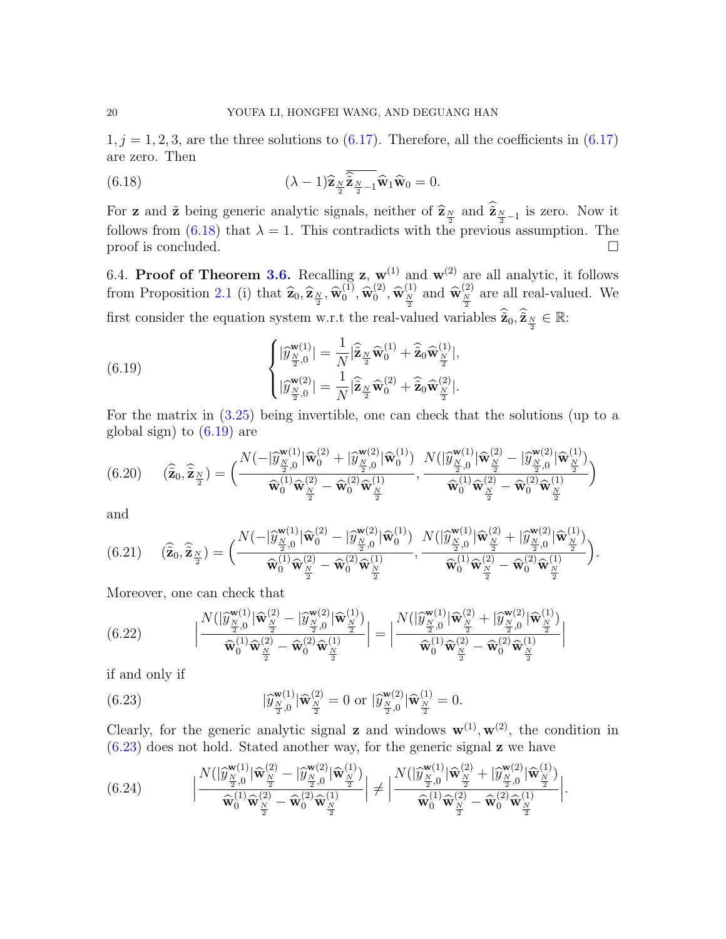$1, j = 1, 2, 3$ , are the three solutions to  $(6.17)$ . Therefore, all the coefficients in  $(6.17)$ are zero. Then

<span id="page-19-1"></span>(6.18) 
$$
(\lambda - 1)\widehat{\mathbf{z}}_{\frac{N}{2}}\overline{\widehat{\mathbf{z}}_{\frac{N}{2}-1}}\widehat{\mathbf{w}}_1\widehat{\mathbf{w}}_0 = 0.
$$

For **z** and  $\tilde{\mathbf{z}}$  being generic analytic signals, neither of  $\hat{\mathbf{z}}_N$  and  $\tilde{\mathbf{z}}_{N-1}$  is zero. Now it follows from [\(6.18\)](#page-19-1) that  $\lambda = 1$ . This contradicts with the previous assumption. The proof is concluded.  $\Box$ 

<span id="page-19-0"></span>6.4. Proof of Theorem [3.6.](#page-11-0) Recalling z,  $w^{(1)}$  and  $w^{(2)}$  are all analytic, it follows from Proposition [2.1](#page-5-1) (i) that  $\hat{\mathbf{z}}_0, \hat{\mathbf{z}}_{\frac{N}{2}}, \hat{\mathbf{w}}_0^{(1)}$  $\mathbf{0}^{(1)}, \mathbf{\widehat{w}}^{(2)}_0$  $\left( \begin{matrix} 2 \\ 0 \end{matrix} \right)$ ,  $\widehat{\mathbf{w}}_{\frac{N}{2}}^{(1)}$  and  $\widehat{\mathbf{w}}_{\frac{N}{2}}^{(2)}$  are all real-valued. We first consider the equation system w.r.t the real-valued variables  $\hat{\tilde{\mathbf{z}}}_0, \hat{\tilde{\mathbf{z}}}_N \in \mathbb{R}$ :

<span id="page-19-2"></span>(6.19) 
$$
\begin{cases} |\widehat{y}_{\frac{N}{2},0}^{\mathbf{w}(1)}| = \frac{1}{N} |\widehat{\mathbf{z}}_{\frac{N}{2}} \widehat{\mathbf{w}}_0^{(1)} + \widehat{\mathbf{z}}_0 \widehat{\mathbf{w}}_{\frac{N}{2}}^{(1)}|, \\ |\widehat{y}_{\frac{N}{2},0}^{\mathbf{w}(2)}| = \frac{1}{N} |\widehat{\mathbf{z}}_{\frac{N}{2}} \widehat{\mathbf{w}}_0^{(2)} + \widehat{\mathbf{z}}_0 \widehat{\mathbf{w}}_{\frac{N}{2}}^{(2)}|. \end{cases}
$$

For the matrix in [\(3.25\)](#page-11-2) being invertible, one can check that the solutions (up to a global sign) to [\(6.19\)](#page-19-2) are

<span id="page-19-5"></span>
$$
(6.20) \qquad (\widehat{\mathbf{z}}_0, \widehat{\mathbf{z}}_{\frac{N}{2}}) = \Big( \frac{N(-|\widehat{y}_{\frac{N}{2},0}^{\mathbf{w}(1)}| \widehat{\mathbf{w}}_0^{(2)} + |\widehat{y}_{\frac{N}{2},0}^{\mathbf{w}(2)}| \widehat{\mathbf{w}}_0^{(1)})}{\widehat{\mathbf{w}}_0^{(1)} \widehat{\mathbf{w}}_{\frac{N}{2}}^{(2)} - \widehat{\mathbf{w}}_0^{(2)} \widehat{\mathbf{w}}_{\frac{N}{2}}^{(1)}}, \frac{N(|\widehat{y}_{\frac{N}{2},0}^{\mathbf{w}(1)}| \widehat{\mathbf{w}}_{\frac{N}{2}}^{(2)} - |\widehat{y}_{\frac{N}{2},0}^{\mathbf{w}(2)}| \widehat{\mathbf{w}}_{\frac{N}{2}}^{(1)})}{\widehat{\mathbf{w}}_0^{(1)} \widehat{\mathbf{w}}_{\frac{N}{2}}^{(2)} - \widehat{\mathbf{w}}_0^{(2)} \widehat{\mathbf{w}}_{\frac{N}{2}}^{(1)}}\Big)
$$

and

<span id="page-19-6"></span>
$$
(6.21) \qquad (\widehat{\tilde{\mathbf{z}}}_0, \widehat{\tilde{\mathbf{z}}}_{\frac{N}{2}}) = \Big( \frac{N(-|\widehat{y}_{\frac{N}{2},0}^{\mathbf{w}(1)}| \widehat{\mathbf{w}}_0^{(2)} - |\widehat{y}_{\frac{N}{2},0}^{\mathbf{w}(2)}| \widehat{\mathbf{w}}_0^{(1)})}{\widehat{\mathbf{w}}_0^{(1)} \widehat{\mathbf{w}}_{\frac{N}{2}}^{(2)} - \widehat{\mathbf{w}}_0^{(2)} \widehat{\mathbf{w}}_{\frac{N}{2}}^{(1)}}, \frac{N(|\widehat{y}_{\frac{N}{2},0}^{\mathbf{w}(1)}| \widehat{\mathbf{w}}_{\frac{N}{2}}^{(2)} + |\widehat{y}_{\frac{N}{2},0}^{\mathbf{w}(2)}| \widehat{\mathbf{w}}_{\frac{N}{2}}^{(1)})}{\widehat{\mathbf{w}}_0^{(1)} \widehat{\mathbf{w}}_{\frac{N}{2}}^{(2)} - \widehat{\mathbf{w}}_0^{(2)} \widehat{\mathbf{w}}_{\frac{N}{2}}^{(1)}} \Big).
$$

Moreover, one can check that

(6.22) 
$$
\left| \frac{N(|\widehat{y}_{\frac{N}{2},0}^{\mathbf{w}(1)}|\widehat{\mathbf{w}}_{\frac{N}{2}}^{(2)} - |\widehat{y}_{\frac{N}{2},0}^{\mathbf{w}(2)}|\widehat{\mathbf{w}}_{\frac{N}{2}}^{(1)})}{\widehat{\mathbf{w}}_0^{(1)}\widehat{\mathbf{w}}_{\frac{N}{2}}^{(2)} - \widehat{\mathbf{w}}_0^{(2)}\widehat{\mathbf{w}}_{\frac{N}{2}}^{(1)}}\right| = \left| \frac{N(|\widehat{y}_{\frac{N}{2},0}^{\mathbf{w}(1)}|\widehat{\mathbf{w}}_{\frac{N}{2}}^{(2)} + |\widehat{y}_{\frac{N}{2},0}^{\mathbf{w}(2)}|\widehat{\mathbf{w}}_{\frac{N}{2}}^{(1)})}{\widehat{\mathbf{w}}_0^{(1)}\widehat{\mathbf{w}}_{\frac{N}{2}}^{(2)} - \widehat{\mathbf{w}}_0^{(2)}\widehat{\mathbf{w}}_{\frac{N}{2}}^{(1)}}\right|
$$

if and only if

<span id="page-19-3"></span>(6.23) 
$$
|\hat{y}_{\frac{N}{2},0}^{\mathbf{w}(1)}|\hat{\mathbf{w}}_{\frac{N}{2}}^{(2)} = 0 \text{ or } |\hat{y}_{\frac{N}{2},0}^{\mathbf{w}(2)}|\hat{\mathbf{w}}_{\frac{N}{2}}^{(1)} = 0.
$$

Clearly, for the generic analytic signal **z** and windows  $\mathbf{w}^{(1)}$ ,  $\mathbf{w}^{(2)}$ , the condition in  $(6.23)$  does not hold. Stated another way, for the generic signal **z** we have

<span id="page-19-4"></span>(6.24) 
$$
\left| \frac{N(|\widehat{y}_{\frac{N}{2},0}^{\mathbf{w}(1)}| \widehat{\mathbf{w}}_{\frac{N}{2}}^{(2)} - |\widehat{y}_{\frac{N}{2},0}^{\mathbf{w}(2)}| \widehat{\mathbf{w}}_{\frac{N}{2}}^{(1)})}{\widehat{\mathbf{w}}_0^{(1)} \widehat{\mathbf{w}}_{\frac{N}{2}}^{(2)} - \widehat{\mathbf{w}}_0^{(2)} \widehat{\mathbf{w}}_{\frac{N}{2}}^{(1)}} \right| \neq \left| \frac{N(|\widehat{y}_{\frac{N}{2},0}^{\mathbf{w}(1)}| \widehat{\mathbf{w}}_{\frac{N}{2}}^{(2)} + |\widehat{y}_{\frac{N}{2},0}^{\mathbf{w}(2)}| \widehat{\mathbf{w}}_{\frac{N}{2}}^{(1)})}{\widehat{\mathbf{w}}_0^{(1)} \widehat{\mathbf{w}}_{\frac{N}{2}}^{(2)} - \widehat{\mathbf{w}}_0^{(2)} \widehat{\mathbf{w}}_{\frac{N}{2}}^{(1)}} \right|.
$$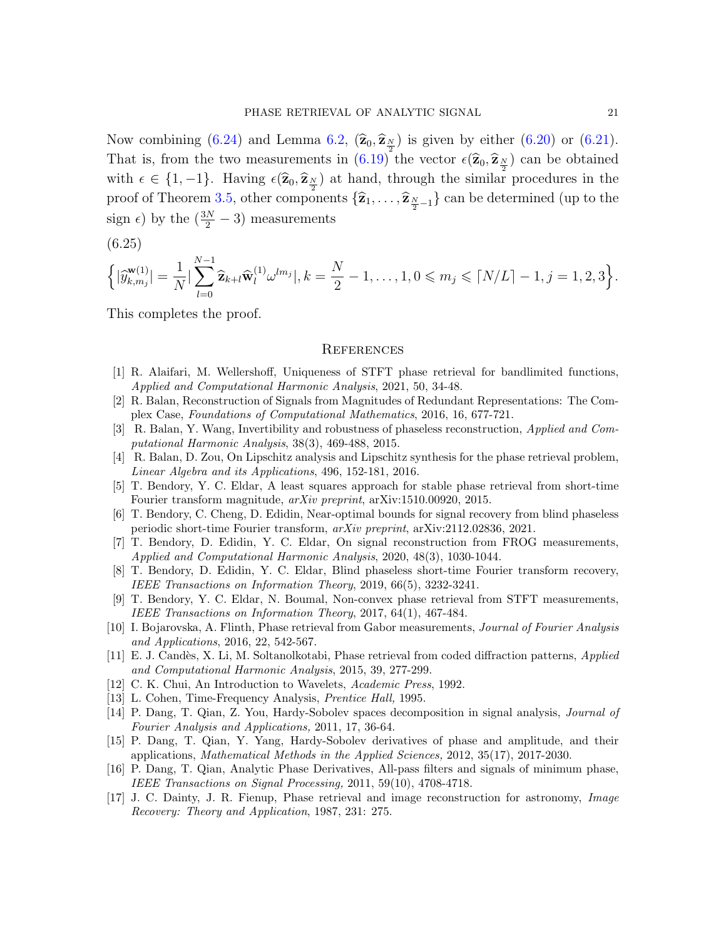Now combining [\(6.24\)](#page-19-4) and Lemma [6.2,](#page-18-4)  $(\hat{\mathbf{z}}_0, \hat{\mathbf{z}}_N)$  is given by either [\(6.20\)](#page-19-5) or [\(6.21\)](#page-19-6). That is, from the two measurements in  $(6.19)$  the vector  $\epsilon(\hat{\mathbf{z}}_0, \hat{\mathbf{z}}_N)$  can be obtained with  $\epsilon \in \{1, -1\}$ . Having  $\epsilon(\hat{\mathbf{z}}_0, \hat{\mathbf{z}}_{\frac{N}{2}})$  at hand, through the similar procedures in the proof of Theorem [3.5,](#page-9-0) other components  $\{\widehat{\mathbf{z}}_1, \ldots, \widehat{\mathbf{z}}_{\frac{N}{2}-1}\}$  can be determined (up to the sign  $\epsilon$ ) by the  $(\frac{3N}{2} - 3)$  measurements

(6.25)

$$
\left\{ |\widehat{y}_{k,m_j}^{\mathbf{w}(1)}| = \frac{1}{N} |\sum_{l=0}^{N-1} \widehat{\mathbf{z}}_{k+l} \widehat{\mathbf{w}}_l^{(1)} \omega^{lm_j}|, k = \frac{N}{2} - 1, \dots, 1, 0 \leqslant m_j \leqslant \lceil N/L \rceil - 1, j = 1, 2, 3 \right\}.
$$

This completes the proof.

#### **REFERENCES**

- <span id="page-20-4"></span>[1] R. Alaifari, M. Wellershoff, Uniqueness of STFT phase retrieval for bandlimited functions, Applied and Computational Harmonic Analysis, 2021, 50, 34-48.
- <span id="page-20-9"></span>[2] R. Balan, Reconstruction of Signals from Magnitudes of Redundant Representations: The Complex Case, Foundations of Computational Mathematics, 2016, 16, 677-721.
- <span id="page-20-0"></span>[3] R. Balan, Y. Wang, Invertibility and robustness of phaseless reconstruction, Applied and Computational Harmonic Analysis, 38(3), 469-488, 2015.
- <span id="page-20-1"></span>[4] R. Balan, D. Zou, On Lipschitz analysis and Lipschitz synthesis for the phase retrieval problem, Linear Algebra and its Applications, 496, 152-181, 2016.
- <span id="page-20-5"></span>[5] T. Bendory, Y. C. Eldar, A least squares approach for stable phase retrieval from short-time Fourier transform magnitude, arXiv preprint, arXiv:1510.00920, 2015.
- <span id="page-20-10"></span>[6] T. Bendory, C. Cheng, D. Edidin, Near-optimal bounds for signal recovery from blind phaseless periodic short-time Fourier transform, arXiv preprint, arXiv:2112.02836, 2021.
- <span id="page-20-16"></span>[7] T. Bendory, D. Edidin, Y. C. Eldar, On signal reconstruction from FROG measurements, Applied and Computational Harmonic Analysis, 2020, 48(3), 1030-1044.
- <span id="page-20-6"></span>[8] T. Bendory, D. Edidin, Y. C. Eldar, Blind phaseless short-time Fourier transform recovery, IEEE Transactions on Information Theory, 2019, 66(5), 3232-3241.
- <span id="page-20-7"></span>[9] T. Bendory, Y. C. Eldar, N. Boumal, Non-convex phase retrieval from STFT measurements, IEEE Transactions on Information Theory, 2017, 64(1), 467-484.
- <span id="page-20-8"></span>[10] I. Bojarovska, A. Flinth, Phase retrieval from Gabor measurements, Journal of Fourier Analysis and Applications, 2016, 22, 542-567.
- <span id="page-20-15"></span>[11] E. J. Cand`es, X. Li, M. Soltanolkotabi, Phase retrieval from coded diffraction patterns, Applied and Computational Harmonic Analysis, 2015, 39, 277-299.
- <span id="page-20-3"></span>[12] C. K. Chui, An Introduction to Wavelets, Academic Press, 1992.
- <span id="page-20-11"></span>[13] L. Cohen, Time-Frequency Analysis, Prentice Hall, 1995.
- <span id="page-20-12"></span>[14] P. Dang, T. Qian, Z. You, Hardy-Sobolev spaces decomposition in signal analysis, Journal of Fourier Analysis and Applications, 2011, 17, 36-64.
- <span id="page-20-13"></span>[15] P. Dang, T. Qian, Y. Yang, Hardy-Sobolev derivatives of phase and amplitude, and their applications, Mathematical Methods in the Applied Sciences, 2012, 35(17), 2017-2030.
- <span id="page-20-14"></span>[16] P. Dang, T. Qian, Analytic Phase Derivatives, All-pass filters and signals of minimum phase, IEEE Transactions on Signal Processing, 2011, 59(10), 4708-4718.
- <span id="page-20-2"></span>[17] J. C. Dainty, J. R. Fienup, Phase retrieval and image reconstruction for astronomy, Image Recovery: Theory and Application, 1987, 231: 275.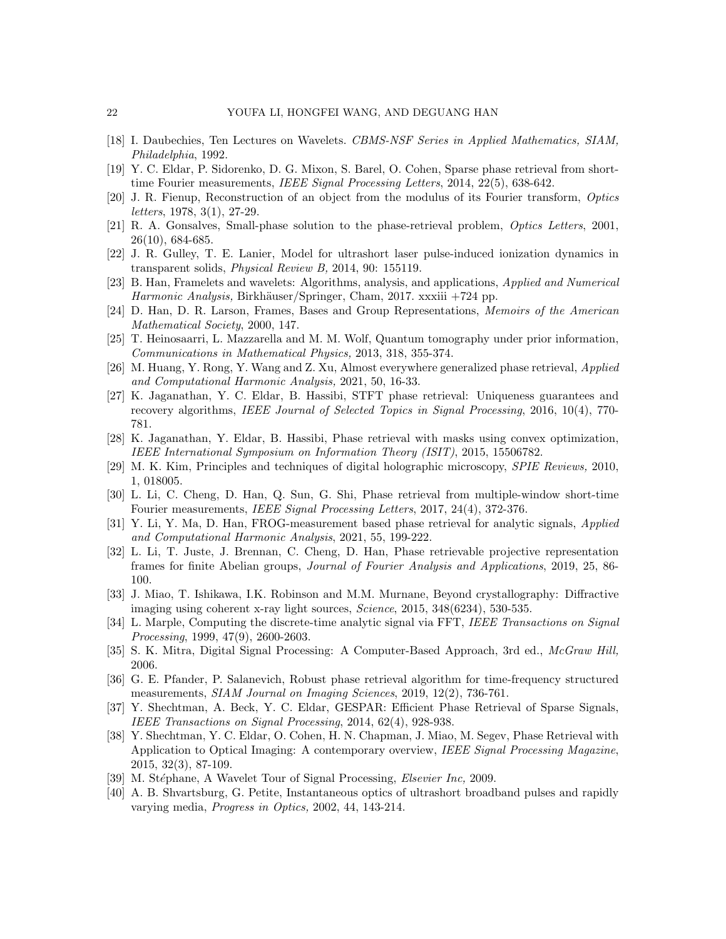- <span id="page-21-5"></span>[18] I. Daubechies, Ten Lectures on Wavelets. CBMS-NSF Series in Applied Mathematics, SIAM, Philadelphia, 1992.
- <span id="page-21-16"></span>[19] Y. C. Eldar, P. Sidorenko, D. G. Mixon, S. Barel, O. Cohen, Sparse phase retrieval from shorttime Fourier measurements, IEEE Signal Processing Letters, 2014, 22(5), 638-642.
- <span id="page-21-4"></span>[20] J. R. Fienup, Reconstruction of an object from the modulus of its Fourier transform, Optics letters, 1978, 3(1), 27-29.
- [21] R. A. Gonsalves, Small-phase solution to the phase-retrieval problem, Optics Letters, 2001, 26(10), 684-685.
- <span id="page-21-17"></span>[22] J. R. Gulley, T. E. Lanier, Model for ultrashort laser pulse-induced ionization dynamics in transparent solids, Physical Review B, 2014, 90: 155119.
- <span id="page-21-6"></span>[23] B. Han, Framelets and wavelets: Algorithms, analysis, and applications, Applied and Numerical Harmonic Analysis, Birkhäuser/Springer, Cham, 2017. xxxiii  $+724$  pp.
- <span id="page-21-8"></span>[24] D. Han, D. R. Larson, Frames, Bases and Group Representations, Memoirs of the American Mathematical Society, 2000, 147.
- <span id="page-21-2"></span>[25] T. Heinosaarri, L. Mazzarella and M. M. Wolf, Quantum tomography under prior information, Communications in Mathematical Physics, 2013, 318, 355-374.
- <span id="page-21-13"></span>[26] M. Huang, Y. Rong, Y. Wang and Z. Xu, Almost everywhere generalized phase retrieval, Applied and Computational Harmonic Analysis, 2021, 50, 16-33.
- <span id="page-21-14"></span>[27] K. Jaganathan, Y. C. Eldar, B. Hassibi, STFT phase retrieval: Uniqueness guarantees and recovery algorithms, IEEE Journal of Selected Topics in Signal Processing, 2016, 10(4), 770-781.
- <span id="page-21-15"></span>[28] K. Jaganathan, Y. Eldar, B. Hassibi, Phase retrieval with masks using convex optimization, IEEE International Symposium on Information Theory (ISIT), 2015, 15506782.
- <span id="page-21-3"></span>[29] M. K. Kim, Principles and techniques of digital holographic microscopy, SPIE Reviews, 2010, 1, 018005.
- <span id="page-21-9"></span>[30] L. Li, C. Cheng, D. Han, Q. Sun, G. Shi, Phase retrieval from multiple-window short-time Fourier measurements, IEEE Signal Processing Letters, 2017, 24(4), 372-376.
- <span id="page-21-19"></span>[31] Y. Li, Y. Ma, D. Han, FROG-measurement based phase retrieval for analytic signals, Applied and Computational Harmonic Analysis, 2021, 55, 199-222.
- <span id="page-21-10"></span>[32] L. Li, T. Juste, J. Brennan, C. Cheng, D. Han, Phase retrievable projective representation frames for finite Abelian groups, Journal of Fourier Analysis and Applications, 2019, 25, 86- 100.
- <span id="page-21-0"></span>[33] J. Miao, T. Ishikawa, I.K. Robinson and M.M. Murnane, Beyond crystallography: Diffractive imaging using coherent x-ray light sources, Science, 2015, 348(6234), 530-535.
- <span id="page-21-20"></span>[34] L. Marple, Computing the discrete-time analytic signal via FFT, IEEE Transactions on Signal Processing, 1999, 47(9), 2600-2603.
- <span id="page-21-21"></span>[35] S. K. Mitra, Digital Signal Processing: A Computer-Based Approach, 3rd ed., McGraw Hill, 2006.
- <span id="page-21-12"></span>[36] G. E. Pfander, P. Salanevich, Robust phase retrieval algorithm for time-frequency structured measurements, SIAM Journal on Imaging Sciences, 2019, 12(2), 736-761.
- <span id="page-21-11"></span>[37] Y. Shechtman, A. Beck, Y. C. Eldar, GESPAR: Efficient Phase Retrieval of Sparse Signals, IEEE Transactions on Signal Processing, 2014, 62(4), 928-938.
- <span id="page-21-1"></span>[38] Y. Shechtman, Y. C. Eldar, O. Cohen, H. N. Chapman, J. Miao, M. Segev, Phase Retrieval with Application to Optical Imaging: A contemporary overview, IEEE Signal Processing Magazine, 2015, 32(3), 87-109.
- <span id="page-21-7"></span>[39] M. Stéphane, A Wavelet Tour of Signal Processing, *Elsevier Inc*, 2009.
- <span id="page-21-18"></span>[40] A. B. Shvartsburg, G. Petite, Instantaneous optics of ultrashort broadband pulses and rapidly varying media, Progress in Optics, 2002, 44, 143-214.